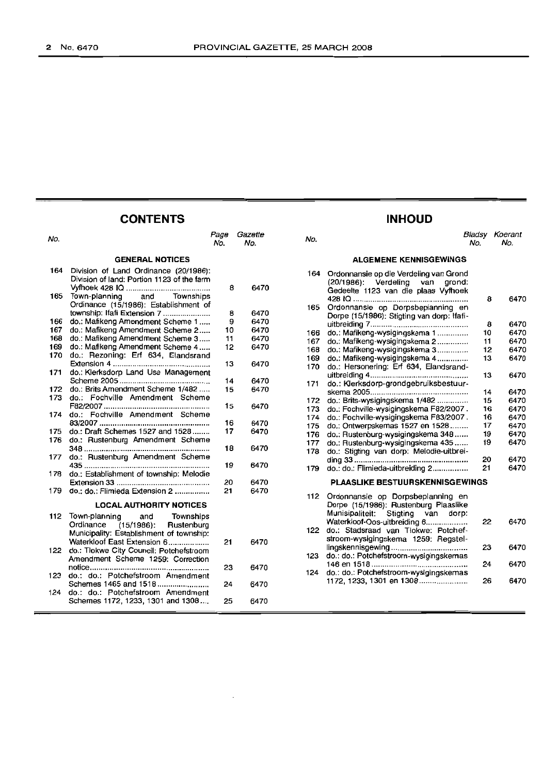#### **CONTENTS**

#### No.<br>No. Page Gazette No. No. No. Bladsy Koerant No. No. **GENERAL NOTICES** 164 Division of Land Ordinance (20/1986): Division of land: Portion 1123 of the farm Vyfhoek 428 10 . 165 Town-planning and Townships Ordinance (15/1986): Establishment of township: Ifafi Extension 7 ...................... 166 do.: Mafikeng Amendment Scheme 1 . 167 do.: Mafikeng Amendment Scheme 2.....<br>168 do.: Mafikeng Amendment Scheme 3. do.: Mafikeng Amendment Scheme 3 ..... 169 do.: Mafikeng Amendment Scheme 4 ..... 170 do.: Rezoning: Erf 634, Elandsrand Extension 4 . 171 do.: Klerksdorp Land Use Management Scheme 2005 . 172 do.: Brits Amendment Scheme 1/482 .....<br>173 do.: Fochville Amendment Scheme do.: Fochville Amendment Scheme F82/2007 . 174 do.: Fochville Amendment Scheme 83/2007 . 175 do.: Draft Schemes 1527 and 1528 . 176 do.: Rustenburg Amendment Scheme 348 . 177 do.: Rustenburg Amendment Scheme 435 . 178 do.: Establishment of township: Melodie Extension 33 . 179 do.: do.: Flimieda Extension 2 . **LOCAL AUTHORITY NOTICES** 112 Town-planning and Townships<br>Ordinance (15/1986): Rustenburg Ordinance (15/1986): Rustenburg Municipality: Establishment of township: Waterkloof East Extension 6................... 122 do.: Tlokwe City Council: Potchefstroom Amendment Scheme 1259: Correction notice . 123 do.: do.: Potchefstroom Amendment Schemes 1465 and 1518 . 124 do.: do.: Potchefstroom Amendment Schemes 1172, 1233, 1301 and 1308 .... 8 8 9 10 11 12 13 14 15 15 16 17 18 19 20 21 21 23 24 25 6470 6470 6470 6470 6470 6470 6470 6470 6470 6470 6470 6470 6470 6470 6470 6470 6470 6470 6470 6470 164 165 166 167 168 169 170 171 172 173 174 175 176 177 178 179 112 122 123 124 **ALGEMENE KENNISGEWINGS** Ordonnansie op die Verdeling van Grond (20/1986): Verdeling van grond: Gedeelte 1123 van die plaas Vyfhoek 42810..................................................... 8 Ordonnansie op Dorpsbeplanning en Dorpe (15/1986): Stigting van dorp: Ifatiuitbreiding 7............................................. 8 do.: Mafikeng-wysigingskema 1 10 do.: Mafikeng-wysigingskema 2.... 11 do.: Mafikeng-wysigingskema 3.............. 12 do.: Mafikeng-wysigingskema 4.............. 13 do.: Hersonering: Erf 634, Elandsranduitbreiding 4............ 13 do.: Klerksdorp-grondgebruiksbestuurskema 2005... 14 do.: Brits-wysigingskema 1/482.............. 15 do.: Fochville-wysigingskema F82/2007 . 16 do.: Fochville-wysigingskema F83/2007. 16 do.: Ontwerpskemas 1527 en 1528........ 17 do.: Rustenburg-wysigingskema 348...... 19 do.: Rustenburg-wysigingskema 435...... 19 do.: Stigting van dorp: Melodie-uitbreiding 33 <u>2000 magacanon manuscription</u> and the series of the series and the series and the series and the series of the series of the series of the series of the series of the series of the series of the series of the seri do.: do.: Flimieda-uitbreiding 2................ 21 **PLAASLIKE BESTUURSKENNISGEWINGS** Ordonnansie op Dorpsbeplanning en Dorpe (15/1986): Rustenburg Plaaslike Munisipaliteit Stigting van dorp: Waterkloof-Oos-uitbreiding 6................... 22 do.: Stadsraad van Tlokwe: Potchefstroom-wysigingskema 1259: Regstellingskennisgewing 23 do.: do.: Potchefstroom-wysigingskemas 146 en 1518 24 do.: do.: Potchefstroom-wysigingskemas 1172,1233,1301 en 1308...................... 26

#### **INHOUD**

6470

6470

6470 6470 6470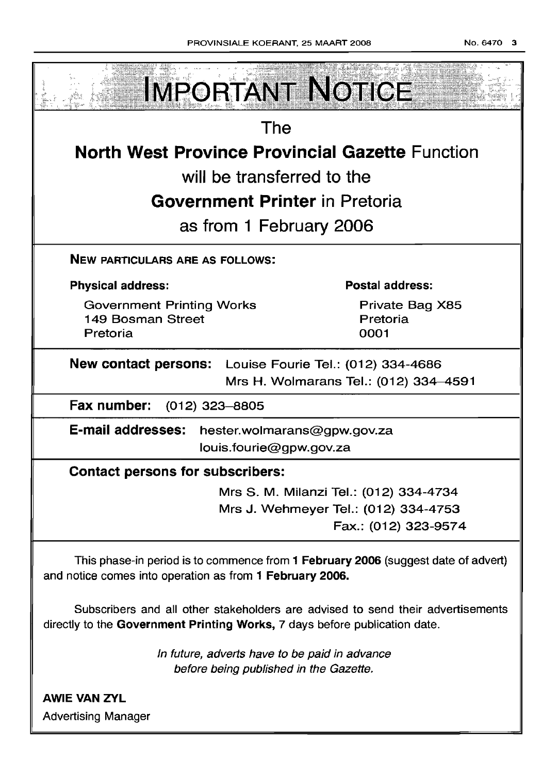

Subscribers and all other stakeholders are advised to send their advertisements directly to the Government Printing Works, 7 days before publication date.

> In future, adverts have to be paid in advance before being published in the Gazette.

AWIE VAN ZVL Advertising Manager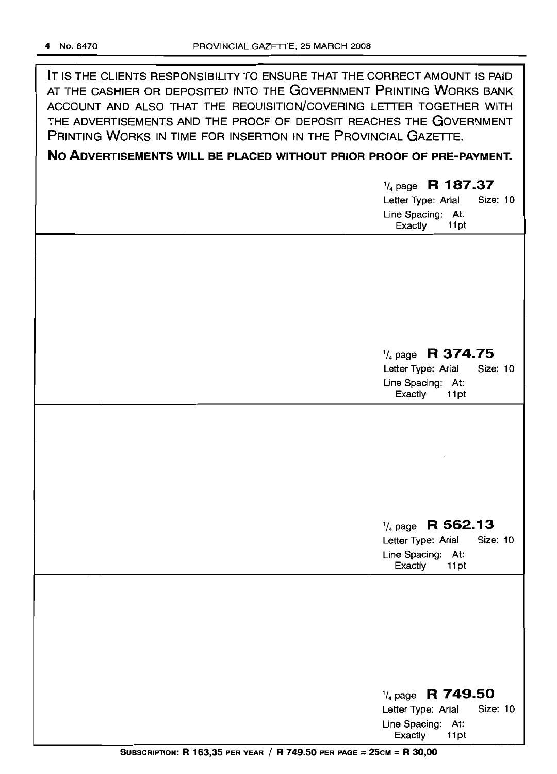IT IS THE CLIENTS RESPONSIBILITY TO ENSURE THAT THE CORRECT AMOUNT IS PAID AT THE CASHIER OR DEPOSITED INTO THE GOVERNMENT PRINTING WORKS BANK ACCOUNT AND ALSO THAT THE REQUISITION/COVERING LETrER TOGETHER WITH THE ADVERTISEMENTS AND THE PROOF OF DEPOSIT REACHES THE GOVERNMENT PRINTING WORKS IN TIME FOR INSERTION IN THE PROVINCIAL GAZETTE.

## **No ADVERTISEMENTS WILL BE PLACED WITHOUT PRIOR PROOF OF PRE-PAYMENT.**

# 1/ <sup>4</sup> page **R 187.37** Letter Type: Arial Size: 10 Line Spacing: At: Exactly 11pt 1/4 page **R 374.75** Letter Type: Arial Size: 10 Line Spacing: At: Exactly 11 pt 1/4page **R 562.13** Letter Type: Arial Size: 10 Line Spacing: At: Exactly 11 pt 1/4 page **R 749.50** Letter Type: Arial Size: 10 Line Spacing: At:

SUBSCRIPTION: R 163,35 PER YEAR / R 749.50 PER PAGE = 25CM = R 30,00

Exactly 11 pt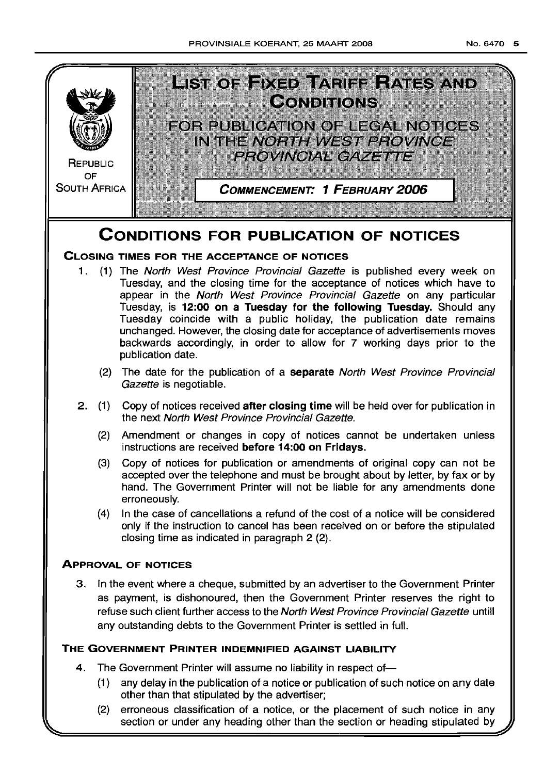

## **CONDITIONS FOR PUBLICATION OF NOTICES**

## **CLOSING TIMES FOR THE ACCEPTANCE OF NOTICES**

- 1. (1) The North West Province Provincial Gazette is published every week on Tuesday, and the closing time for the acceptance of notices which have to appear in the North West Province Provincial Gazette on any particular Tuesday, is **12:00 on a Tuesday for the following Tuesday.** Should any Tuesday coincide with a public holiday, the publication date remains unchanged. However, the closing date for acceptance of advertisements moves backwards accordingly, in order to allow for 7 working days prior to the publication date.
	- (2) The date for the publication of a **separate** North West Province Provincial Gazette is negotiable.
- 2. (1) Copy of notices received **after closing time** will be held over for publication in the next North West Province Provincial Gazette.
	- (2) Amendment or changes in copy of notices cannot be undertaken unless instructions are received **before 14:00 on Fridays.**
	- (3) Copy of notices for publication or amendments of original copy can not be accepted over the telephone and must be brought about by letter, by fax or by hand. The Government Printer will not be liable for any amendments done erroneously.
	- (4) In the case of cancellations a refund of the cost of a notice will be considered only if the instruction to cancel has been received on or before the stipulated closing time as indicated in paragraph 2 (2).

## **ApPROVAL OF NOTICES**

3. In the event where a cheque, submitted by an advertiser to the Government Printer as payment, is dishonoured, then the Government Printer reserves the right to refuse such client further access to the North West Province Provincial Gazette untill any outstanding debts to the Government Printer is settled in full.

## **THE GOVERNMENT PRINTER INDEMNIFIED AGAINST LIABILITY**

- 4. The Government Printer will assume no liability in respect of-
	- (1) any delay in the publication of a notice or publication of such notice on any date other than that stipulated by the advertiser;
	- (2) erroneous classification of a notice, or the placement of such notice in any section or under any heading other than the section or heading stipulated by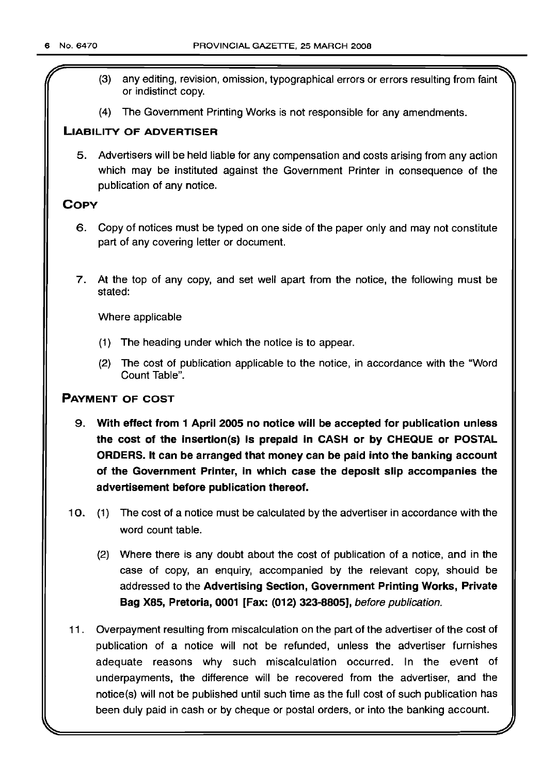- (3) any editing, revision, omission, typographical errors or errors resulting from faint or indistinct copy.
- (4) The Government Printing Works is not responsible for any amendments.

#### LIABILITY OF ADVERTISER

5. Advertisers will be held liable for any compensation and costs arising from any action which may be instituted against the Government Printer in consequence of the publication of any notice.

### **COPY**

- 6. Copy of notices must be typed on one side of the paper only and may not constitute part of any covering letter or document.
- 7. At the top of any copy, and set well apart from the notice, the following must be stated:

Where applicable

- (1) The heading under which the notice is to appear.
- (2) The cost of publication applicable to the notice, in accordance with the "Word Count Table".

#### PAYMENT OF COST

- 9. With effect from 1 April 2005 no notice will be accepted for publication unless the cost of the insertion(s) is prepaid in CASH or by CHEQUE or POSTAL ORDERS. It can be arranged that money can be paid into the banking account of the Government Printer, in which case the deposit slip accompanies the advertisement before publication thereof.
- 10. (1) The cost of a notice must be calculated by the advertiser in accordance with the word count table.
	- (2) Where there is any doubt about the cost of publication of a notice, and in the case of copy, an enquiry, accompanied by the relevant copy, should be addressed to the Advertising Section, Government Printing Works, Private Bag X85, Pretoria, 0001 [Fax: (012) 323-8805], before publication.
- 11 . Overpayment resulting from miscalculation on the part of the advertiser of the cost of publication of a notice will not be refunded, unless the advertiser furnishes adequate reasons why such miscalculation occurred. In the event of underpayments, the difference will be recovered from the advertiser, and the notice(s) will not be published until such time as the full cost of such publication has been duly paid in cash or by cheque or postal orders, or into the banking account.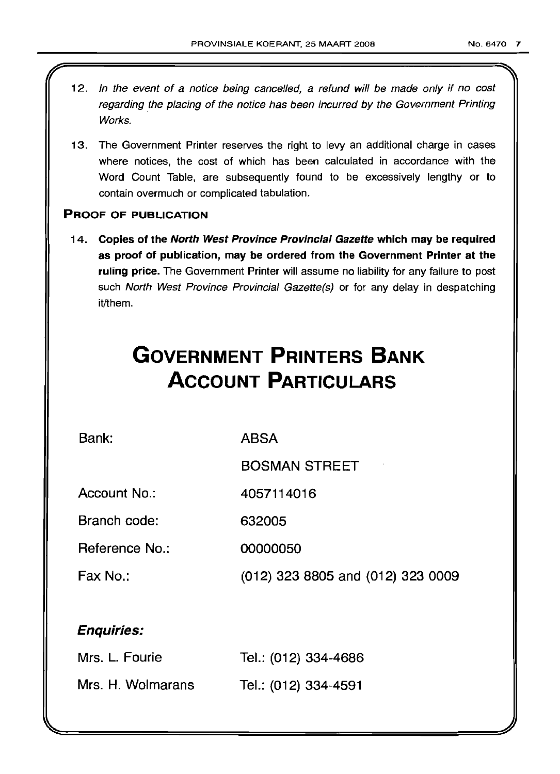- 12. In the event of a notice being cancelled, a refund will be made only if no cost regarding the placing of the notice has been incurred by the Government Printing Works.
- 13. The Government Printer reserves the right to levy an additional charge in cases where notices, the cost of which has been calculated in accordance with the Word Count Table, are subsequently found to be excessively lengthy or to contain overmuch or complicated tabulation.

#### PROOF OF PUBLICATION

14. Copies of the North West Province Provincial Gazette which may be required as proof of publication, may be ordered from the Government Printer at the ruling price. The Government Printer will assume no liability for any failure to post such North West Province Provincial Gazette(s) or for any delay in despatching it/them.

## **GOVERNMENT PRINTERS BANK ACCOUNT PARTICULARS**

Bank:

ABSA

BOSMAN STREET

Account No.: 4057114016

Branch code: 632005

Reference No.: 00000050

Fax No.: (012) 323 8805 and (012) 323 0009

## Enquiries:

| Mrs. L. Fourie    | Tel.: (012) 334-4686 |
|-------------------|----------------------|
| Mrs. H. Wolmarans | Tel.: (012) 334-4591 |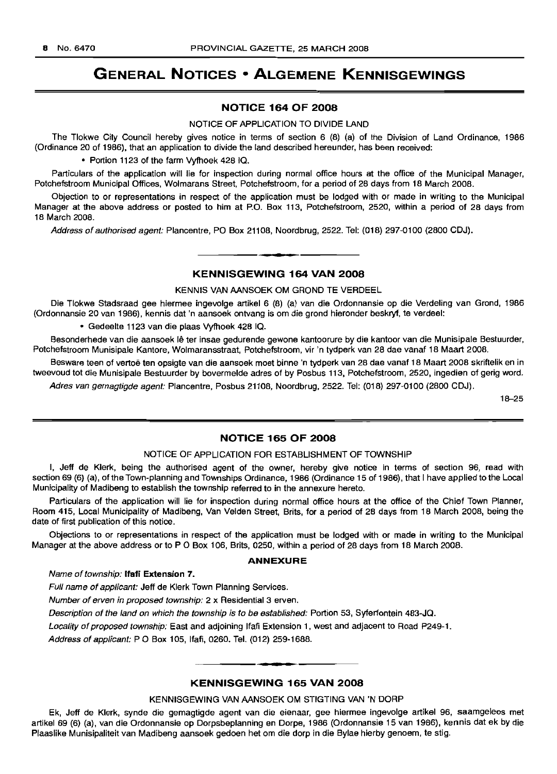## **GENERAL NOTICES • ALGEMENE KENNISGEWINGS**

#### **NOTICE 164 OF 2008**

NOTICE OF APPLICATION TO DIVIDE LAND

The Tlokwe City Council hereby gives notice in terms of section 6 (8) (a) of the Division of Land Ordinance, 1986 (Ordinance 20 of 1986), that an application to divide the land described hereunder, has been received:

• Portion 1123 of the farm Vyfhoek 428 IQ.

Particulars of the application will lie for inspection during normal office hours at the office of the Municipal Manager, Potchefstroom Municipal Offices, Wolmarans Street, Potchefstroom, for a period of 28 days from 18 March 2008.

Objection to or representations in respect of the application must be lodged with or made in writing to the Municipal Manager at the above address or posted to him at P.O. Box 113, Potchefstroom, 2520, within a period of 28 days from 18 March 2008.

Address of authorised agent: Plancentre, PO Box 21108, Noordbrug, 2522. Tel: (018) 297-0100 (2800 CDJ).

#### **KENNISGEWING 164 VAN 2008**

**- .**

KENNIS VAN AANSOEK OM GROND TE VERDEEL

Die Tlokwe Stadsraad gee hiermee ingevolge artikel 6 (8) (a) van die Ordonnansie op die Verdeling van Grond, 1986 (Ordonnansie 20 van 1986), kennis dat 'n aansoek ontvang is om die grond hieronder beskryf, te verdeel:

• Gedeelte 1123 van die plaas Vyfhoek 428 IQ.

Besonderhede van die aansoek lê ter insae gedurende gewone kantoorure by die kantoor van die Munisipale Bestuurder, Potchefstroom Munisipale Kantore, Wolmaransstraat, Potchefstroom, vir 'n tydperk van 28 dae vanaf 18 Maart 2008.

Besware teen of vertoe ten opsigte van die aansoek moet binne 'n tydperk van 28 dae vanaf 18 Maart 2008 skriftelik en in tweevoud tot die Munisipale Bestuurder by bovermelde adres of by Posbus 113, Potchefstroom, 2520, ingedien of gerig word.

Adres van gemagtigde agent: Plancentre, Posbus 21108, Noordbrug, 2522. Tel: (018) 297-0100 (2800 CDJ).

18-25

#### **NOTICE 165 OF 2008**

#### NOTICE OF APPLICATION FOR ESTABLISHMENT OF TOWNSHIP

I, Jeff de Klerk, being the authorised agent of the owner, hereby give notice in terms of section 96, read with section 69 (6) (a), of the Town-planning and Townships Ordinance, 1986 (Ordinance 15 of 1986), that I have applied to the Local Municipality of Madibeng to establish the township referred to in the annexure hereto.

Particulars of the application will lie for inspection during normal office hours at the office of the Chief Town Planner, Room 415, Local Municipality of Madibeng, Van Velden Street, Brits, for a period of 28 days from 18 March 2008, being the date of first publication of this notice.

Objections to or representations in respect of the application must be lodged with or made in writing to the Municipal Manager at the above address or to P O Box 106, Brits, 0250, within a period of 28 days from 18 March 2008.

#### **ANNEXURE**

Name of township: **Itati Extension** 7.

Full name of applicant: Jeff de Klerk Town Planning Services.

Number of erven in proposed township: 2 x Residential 3 erven.

Description of the land on which the township is to be established: Portion 53, Syferfontein 483-JQ.

Locality of proposed township: East and adjoining Ifafi Extension 1, west and adjacent to Road P249-1.

Address of applicant: PO Box 105, Ifafi, 0260. Tel. (012) 259-1688.

#### **KENNISGEWING 165 VAN 2008**

**F •**

#### KENNISGEWING VAN AANSOEK OM STIGTING VAN 'N DORP

Ek, Jeff de Klerk, synde die gemagtigde agent van die eienaar, gee hiermee ingevolge artikel 96, saamgelees met artikel 69 (6) (a), van die Ordonnansie op Dorpsbeplanning en Dorpe, 1986 (Ordonnansie 15 van 1986), kennis dat ek by die Plaaslike Munisipaliteit van Madibeng aansoek gedoen het om die dorp in die Bylae hierby genoem, te stig.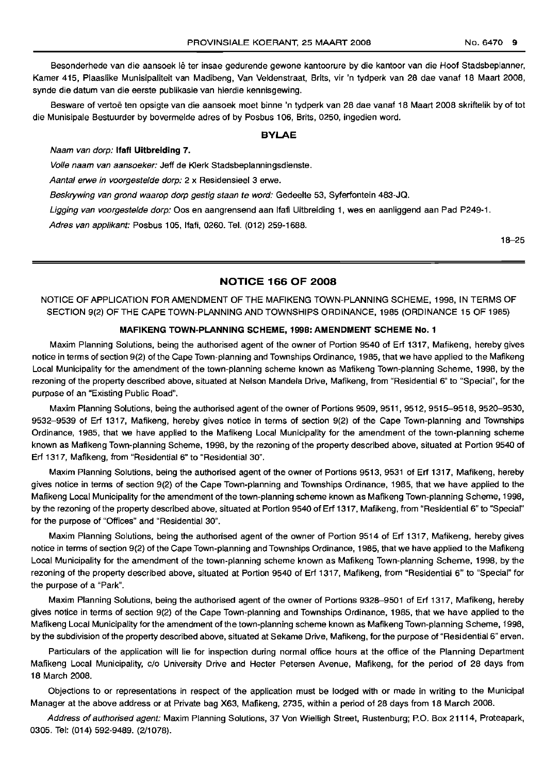Besonderhede van die aansoek Ie ter insae gedurende gewone kantoorure by die kantoor van die Hoof Stadsbeplanner, Kamer 415, Plaaslike Munisipaliteit van Madibeng, Van Veldenstraat, Brits, vir 'n tydperk van 28 dae vanaf 18 Maart 2008,

synde die datum van die eerste publikasie van hierdie kennisgewing. Besware of vertoë ten opsigte van die aansoek moet binne 'n tydperk van 28 dae vanaf 18 Maart 2008 skriftelik by of tot die Munisipale Bestuurder by bovermelde adres of by Posbus 106, Brits, 0250, ingedien word.

#### BYLAE

#### Naam van dorp: Ifafi Uitbreiding 7.

Volle naam van aansoeker: Jeff de Klerk Stadsbeplanningsdienste.

Aantal erwe in voorgestelde dorp: 2 x Residensieel 3 erwe.

Beskrywing van grond waarop dorp gestig staan te word: Gedeelte 53, Syferfontein 483-JQ.

Ligging van voorgestelde dorp: Oos en aangrensend aan Ifafi Uitbreiding 1, wes en aanliggend aan Pad P249-1.

Adres van applikant: Posbus 105, Ifafi, 0260. Tel. (012) 259-1688.

18-25

#### NOTICE 166 OF 2008

NOTICE OF APPLICATION FOR AMENDMENT OF THE MAFIKENG TOWN-PLANNING SCHEME, 1998, IN TERMS OF SECTION 9(2) OF THE CAPE TOWN-PLANNING AND TOWNSHIPS ORDINANCE, 1985 (ORDINANCE 15 OF 1985)

#### MAFIKENG TOWN-PLANNING SCHEME, 199B: AMENDMENT SCHEME No.1

Maxim Planning Solutions, being the authorised agent of the owner of Portion 9540 of Erf 1317, Mafikeng, hereby gives notice in terms of section 9(2) of the Cape Town-planning and Townships Ordinance, 1985, that we have applied to the Mafikeng Local Municipality for the amendment of the town-planning scheme known as Mafikeng Town-planning Scheme, 1998, by the rezoning of the property described above, situated at Nelson Mandela Drive, Mafikeng, from "Residential 6" to "Special", for the purpose of an "Existing Public Road".

Maxim Planning Solutions, being the authorised agent of the owner of Portions 9509, 9511, 9512, 9515-9518, 9520-9530, 9532-9539 of Erf 1317, Mafikeng, hereby gives notice in terms of section 9(2) of the Cape Town-planning and Townships Ordinance, 1985, that we have applied to the Mafikeng Local Municipality for the amendment of the town-planning scheme known as Mafikeng Town-planning Scheme, 1998, by the rezoning of the property described above, situated at Portion 9540 of Erf 1317, Mafikeng, from "Residential 6" to "Residential 30".

Maxim Planning Solutions, being the authorised agent of the owner of Portions 9513, 9531 of Erf 1317, Mafikeng, hereby gives notice in terms of section 9(2) of the Cape Town-planning and Townships Ordinance, 1985, that we have applied to the Mafikeng Local Municipality for the amendment of the town-planning scheme known as Mafikeng Town-planning Scheme, 1998, by the rezoning of the property described above, situated at Portion 9540 of Erf 1317, Mafikeng, from "Residential 6" to "Special" for the purpose of "Offices" and "Residential 30".

Maxim Planning Solutions, being the authorised agent of the owner of Portion 9514 of Erf 1317, Mafikeng, hereby gives notice in terms of section 9(2) of the Cape Town-planning and Townships Ordinance, 1985, that we have applied to the Mafikeng Local Municipality for the amendment of the town-planning scheme known as Mafikeng Town-planning Scheme, 1998, by the rezoning of the property described above, situated at Portion 9540 of Erf 1317, Mafikeng, from "Residential 6" to "Special" for the purpose of a "Park".

Maxim Planning Solutions, being the authorised agent of the owner of Portions 9328-9501 of Erf 1317, Mafikeng, hereby gives notice in terms of section 9(2) of the Cape Town-planning and Townships Ordinance, 1985, that we have applied to the Mafikeng Local Municipality for the amendment of the town-planning scheme known as Mafikeng Town-planning Scheme, 1998, by the subdivision of the property described above, situated at Sekame Drive, Mafikeng, for the purpose of "Residential 6" erven.

Particulars of the application will lie for inspection during normal office hours at the office of the Planning Department Mafikeng Local Municipality, c/o University Drive and Hecter Petersen Avenue, Mafikeng, for the period of 28 days from 18 March 2008.

Objections to or representations in respect of the application must be lodged with or made in writing to the Municipal Manager at the above address or at Private bag X63, Mafikeng, 2735, within a period of 28 days from 18 March 2008.

Address of authorised agent: Maxim Planning Solutions, 37 Von Wielligh Street, Rustenburg; P.O. Box 21114, Proteapark, 0305. Tel: (014) 592-9489. (2/1078).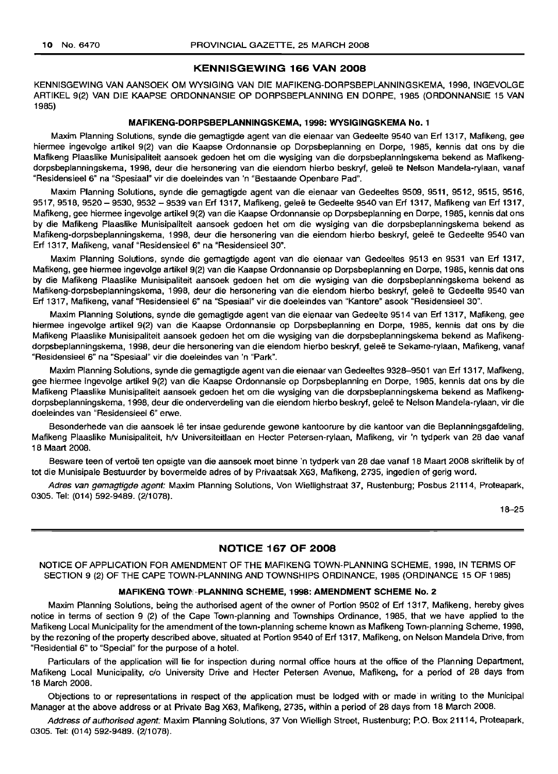#### KENNISGEWING 166 VAN 2008

KENNISGEWING VAN AANSOEK OM WYSIGING VAN DIE MAFIKENG-DORPSBEPLANNINGSKEMA, 1998, INGEVOLGE ARTIKEL 9(2) VAN DIE KAAPSE ORDONNANSIE OP DORPSBEPLANNING EN DORPE, 1985 (ORDONNANSIE 15 VAN 1985)

#### MAFIKENG-DORPSBEPLANNINGSKEMA, 1998: WYSIGINGSKEMA No.1

Maxim Planning Solutions, synde die gemagtigde agent van die eienaar van Gedeelte 9540 van Erf 1317, Mafikeng, gee hiermee ingevolge artikel 9(2) van die Kaapse Ordonnansie op Dorpsbeplanning en Dorpe, 1985, kennis dat ons by die Mafikeng Plaaslike Munisipaliteit aansoek gedoen het om die wysiging van die dorpsbeplanningskema bekend as Mafikengdorpsbeplanningskema, 1998, deur die hersonering van die eiendom hierbo beskryf, gelee te Nelson Mandela-rylaan, vanaf "Residensieel 6" na "Spesiaal" vir die doeleindes van 'n "Bestaande Openbare Pad".

Maxim Planning Solutions, synde die gemagtigde agent van die eienaar van Gedeeltes 9509, 9511, 9512, 9515, 9516, 9517,9518,9520 - 9530,9532 - 9539 van Erf 1317, Mafikeng, gelee te Gedeelte 9540 van Erf 1317, Mafikeng van Erf 1317, Mafikeng, gee hiermee ingevolge artikel 9(2) van die Kaapse Ordonnansie op Dorpsbeplanning en Dorpe, 1985, kennis dat ons by die Mafikeng Plaaslike Munisipaliteit aansoek gedoen het om die wysiging van die dorpsbeplanningskema bekend as Mafikeng-dorpsbeplanningskema, 1998, deur die hersonering van die eiendom hierbo beskryf, gelee te Gedeelte 9540 van Erf 1317, Mafikeng, vanaf "Residensieel 6" na "Residensieel 30".

Maxim Planning Solutions, synde die gemagtigde agent van die eienaar van Gedeeltes 9513 en 9531 van Erf 1317, Mafikeng, gee hiermee ingevolge artikel 9(2) van die Kaapse Ordonnansie op Dorpsbeplanning en Dorpe, 1985, kennis dat ons by die Mafikeng Plaaslike Munisipaliteit aansoek gedoen het om die wysiging van die dorpsbeplanningskema bekend as Mafikeng-dorpsbeplanningskema, 1998, deur die hersonering van die eiendom hierbo beskryf, gelee te Gedeelte 9540 van Erf 1317, Mafikeng, vanaf "Residensieel 6" na "Spesiaal" vir die doeleindes van "Kantore" asook "Residensieel 30".

Maxim Planning Solutions, synde die gemagtigde agent van die eienaar van Gedeelte 9514 van Erf 1317, Mafikeng, gee hiermee ingevolge artikel 9(2) van die Kaapse Ordonnansie op Dorpsbeplanning en Dorpe, 1985, kennis dat ons by die Mafikeng Plaaslike Munisipaliteit aansoek gedoen het om die wysiging van die dorpsbeplanningskema bekend as Mafikengdorpsbeplanningskema, 1998, deur die hersonering van die eiendom hierbo beskryf, gelee te Sekame-rylaan, Mafikeng, vanaf "Residensieel 6" na "Spesiaal" vir die doeleindes van 'n "Park".

Maxim Planning Solutions, synde die gemagtigde agent van die eienaar van Gedeeltes 9328-9501 van Erf 1317, Mafikeng, gee hiermee ingevolge artikel 9(2) van die Kaapse Ordonnansie op Dorpsbeplanning en Dorpe, 1985, kennis dat ons by die Mafikeng Plaaslike Munisipaliteit aansoek gedoen het om die wysiging van die dorpsbeplanningskema bekend as Mafikengdorpsbeplanningskema, 1998, deur die onderverdeling van die eiendom hierbo beskryf, gelee te Nelson Mandela-rylaan, vir die doeleindes van "Residensieel 6" erwe.

Besonderhede van die aansoek lê ter insae gedurende gewone kantoorure by die kantoor van die Beplanningsgafdeling, Mafikeng Plaaslike Munisipaliteit, h/v Universiteitlaan en Heeter Petersen-rylaan, Mafikeng, vir 'n tydperk van 28 dae vanaf 18 Maart 2008.

Besware teen of vertoë ten opsigte van die aansoek moet binne 'n tydperk van 28 dae vanaf 18 Maart 2008 skriftelik by of tot die Munisipale Bestuurder by bovermelde adres of by Privaatsak X63, Mafikeng, 2735, ingedien of gerig word.

Adres van gemagtigde agent: Maxim Planning Solutions, Von Wiellighstraat 37, Rustenburg; Posbus 21114, Proteapark, 0305. Tel: (014) 592-9489. (2/1078).

18-25

#### NOTICE 167 OF 2008

NOTICE OF APPLICATION FOR AMENDMENT OF THE MAFIKENG TOWN-PLANNING SCHEME, 1998, IN TERMS OF SECTION 9 (2) OF THE CAPE TOWN-PLANNING AND TOWNSHIPS ORDINANCE, 1985 (ORDINANCE 15 OF 1985)

#### MAFIKENG TOWN PLANNING SCHEME, 1998: AMENDMENT SCHEME No. 2

Maxim Planning Solutions, being the authorised agent of the owner of Portion 9502 of Erf 1317, Mafikeng, hereby gives notice in terms of section 9 (2) of the Cape Town-planning and Townships Ordinance, 1985, that we have applied to the Mafikeng Local Municipality for the amendment of the town-planning scheme known as Mafikeng Town-planning Scheme, 1998, by the rezoning of the property described above, situated at Portion 9540 of Erf 1317, Mafikeng, on Nelson Mandela Drive, from "Residential 6" to "Special" for the purpose of a hotel.

Particulars of the application will lie for inspection during normal office hours at the office of the Planning Department, Mafikeng Local Municipality, c/o University Drive and Heeter Petersen Avenue, Mafikeng, for a period of 28 days from 18 March 2008.

Objections to or representations in respect of the application must be lodged with or made in writing to the Municipal Manager at the above address or at Private Bag X63, Mafikeng, 2735, within a period of 28 days from 18 March 2008.

Address of authorised agent: Maxim Planning Solutions, 37 Von Wielligh Street, Rustenburg; P.O. Box 21114, Proteapark, 0305. Tel: (014) 592-9489. (2/1078).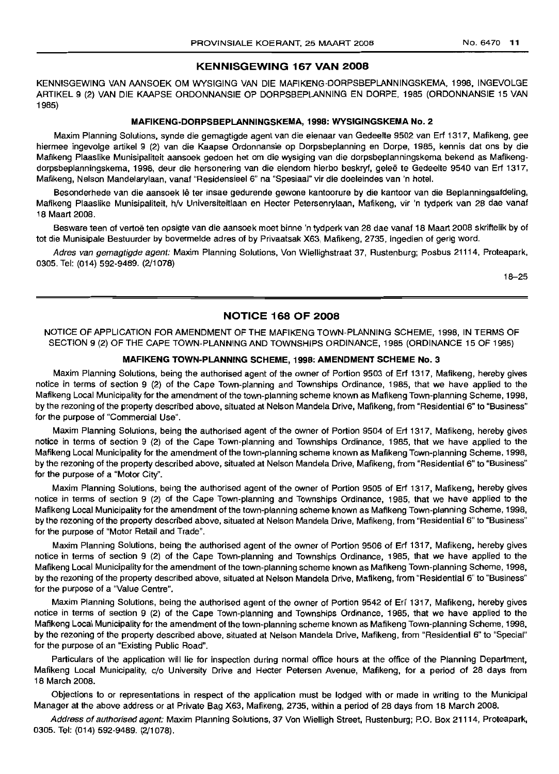#### KENNISGEWING 167 VAN 2008

KENNISGEWING VAN AANSOEK OM WYSIGING VAN DIE MAFIKENG-DORPSBEPLANNINGSKEMA, 1998, INGEVOLGE ARTIKEL 9 (2) VAN DIE KAAPSE ORDONNANSIE OP DORPSBEPLANNING EN DORPE, 1985 (ORDONNANSIE 15 VAN 1985)

#### MAFIKENG-DORPSBEPLANNINGSKEMA, 1998: WYSIGINGSKEMA No.2

Maxim Planning Solutions, synde die gemagtigde agent van die eienaar van Gedeelte 9502 van Erf 1317, Mafikeng, gee hiermee ingevolge artikel 9 (2) van die Kaapse Ordonnansie op Dorpsbeplanning en Dorpe, 1985, kennis dat ons by die Mafikeng Plaaslike Munisipaliteit aansoek gedoen het om die wysiging van die dorpsbeplanningskema bekend as Mafikengdorpsbeplanningskema, 1998, deur die hersonering van die eiendom hierbo beskryf, geleë te Gedeelte 9540 van Erf 1317, Mafikeng, Nelson Mandelarylaan, vanaf "Residensieel 6" na "Spesiaal" vir die doeleindes van 'n hotel.

Besonderhede van die aansoek lê ter insae gedurende gewone kantoorure by die kantoor van die Beplanningsafdeling, Mafikeng Plaaslike Munisipaliteit, h/v Universiteitlaan en Heeter Petersenrylaan, Mafikeng, vir 'n tydperk van 28 dae vanaf 18 Maart 2008.

Besware teen of vertoë ten opsigte van die aansoek moet binne 'n tydperk van 28 dae vanaf 18 Maart 2008 skriftelik by of tot die Munisipale Bestuurder by bovermelde adres of by Privaatsak X63, Mafikeng, 2735, ingedien of gerig word.

Adres van gemagtigde agent: Maxim Planning Solutions, Von Wiellighstraat 37, Rustenburg; Posbus 21114, Proteapark, 0305. Tel: (014) 592-9489. (2/1078)

18-25

#### NOTICE 168 OF 2008

NOTICE OF APPLICATION FOR AMENDMENT OF THE MAFIKENG TOWN-PLANNING SCHEME, 1998, IN TERMS OF SECTION 9 (2) OF THE CAPE TOWN-PLANNING AND TOWNSHIPS ORDINANCE, 1985 (ORDINANCE 15 OF 1985)

#### MAFIKENG TOWN-PLANNING SCHEME, 1998: AMENDMENT SCHEME No.3

Maxim Planning Solutions, being the authorised agent of the owner of Portion 9503 of Erf 1317, Mafikeng, hereby gives notice in terms of section 9 (2) of the Cape Town-planning and Townships Ordinance, 1985, that we have applied to the Mafikeng Local Municipality for the amendment of the town-planning scheme known as Mafikeng Town-planning Scheme, 1998, by the rezoning of the property described above, situated at Nelson Mandela Drive, Mafikeng, from "Residential 6" to "Business" for the purpose of "Commercial Use".

Maxim Planning Solutions, being the authorised agent of the owner of Portion 9504 of Erf 1317, Mafikeng, hereby gives notice in terms of section 9 (2) of the Cape Town-planning and Townships Ordinance, 1985, that we have applied to the Mafikeng Local Municipality for the amendment of the town-planning scheme known as Mafikeng Town-planning Scheme, 1998, by the rezoning of the property described above, situated at Nelson Mandela Drive, Mafikeng, from "Residential 6" to "Business" for the purpose of a "Motor City".

Maxim Planning Solutions, being the authorised agent of the owner of Portion 9505 of Erf 1317, Mafikeng, hereby gives notice in terms of section 9 (2) of the Cape Town-planning and Townships Ordinance, 1985, that we have applied to the Mafikeng Local Municipality for the amendment of the town-planning scheme known as Mafikeng Town-planning Scheme, 1998, by the rezoning of the property described above, situated at Nelson Mandela Drive, Mafikeng, from "Residential 6" to "Business" for the purpose of "Motor Retail and Trade".

Maxim Planning Solutions, being the authorised agent of the owner of Portion 9506 of Erf 1317, Mafikeng, hereby gives notice in terms of section 9 (2) of the Cape Town-planning and Townships Ordinance, 1985, that we have applied to the Mafikeng Local Municipality for the amendment of the town-planning scheme known as Mafikeng Town-planning Scheme, 1998, by the rezoning of the property described above, situated at Nelson Mandela Drive, Mafikeng, from "Residential 6" to "Business" for the purpose of a "Value Centre".

Maxim Planning Solutions, being the authorised agent of the owner of Portion 9542 of Eri 1317, Mafikeng, hereby gives notice in terms of section 9 (2) of the Cape Town-planning and Townships Ordinance, 1985, that we have applied to the Mafikeng Local Municipality for the amendment of the town-planning scheme known as Mafikeng Town-planning Scheme, 1998, by the rezoning of the property described above, situated at Nelson Mandela Drive, Mafikeng, from "Residential 6" to "Special" for the purpose of an "Existing Public Road".

Particulars of the application will lie for inspection during normal office hours at the office of the Planning Department, Mafikeng Local Municipality, c/o University Drive and Heeter Petersen Avenue, Mafikeng, for a period of 28 days from 18 March 2008.

Objections to or representations in respect of the application must be lodged with or made in writing to the Municipal Manager at the above address or at Private Bag X63, Mafikeng, 2735, within a period of 28 days from 18 March 2008.

Address of authorised agent: Maxim Planning Solutions, 37 Von Wielligh Street, Rustenburg; P.O. Box 21114, Proteapark, 0305. Tel: (014) 592-9489. (2/1078).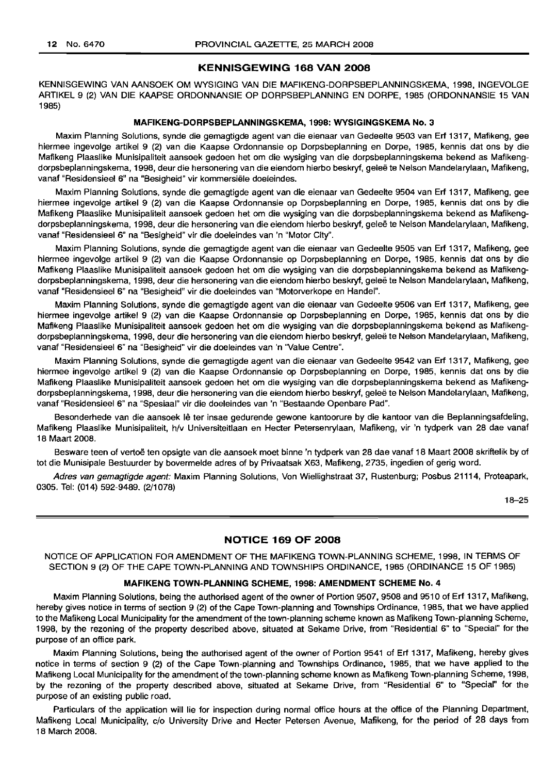#### **KENNISGEWING 168 VAN 2008**

KENNISGEWING VAN AANSOEK OM WYSIGING VAN DIE MAFIKENG-DORPSBEPLANNINGSKEMA, 1998, INGEVOLGE ARTIKEL 9 (2) VAN DIE KAAPSE ORDONNANSIE OP DORPSBEPLANNING EN DORPE, 1985 (ORDONNANSIE 15 VAN 1985)

#### **MAFIKENG-DORPSBEPLANNINGSKEMA, 1998: WYSIGINGSKEMA No.3**

Maxim Planning Solutions, synde die gemagtigde agent van die eienaar van Gedeelte 9503 van Erf 1317, Mafikeng, gee hiermee ingevolge artikel 9 (2) van die Kaapse Ordonnansie op Dorpsbeplanning en Dorpe, 1985, kennis dat ons by die Mafikeng Plaaslike Munisipaliteit aansoek gedoen het om die wysiging van die dorpsbeplanningskema bekend as Mafikengdorpsbeplanningskema, 1998, deur die hersonering van die eiendom hierbo beskryf, gelee te Nelson Mandelarylaan, Mafikeng, vanaf "Residensieel 6" na "Besigheid" vir komrnersiele doeleindes.

Maxim Planning Solutions, synde die gemagtigde agent van die eienaar van Gedeelte 9504 van Erf 1317, Mafikeng, gee hiermee ingevolge artikel 9 (2) van die Kaapse Ordonnansie op Dorpsbeplanning en Dorpe, 1985, kennis dat ons by die Mafikeng Plaaslike Munisipaliteit aansoek gedoen het om die wysiging van die dorpsbeplanningskema bekend as Mafikengdorpsbeplanningskema, 1998, deur die hersonering van die eiendom hierbo beskryf, geleë te Nelson Mandelarylaan, Mafikeng, vanaf "Residensieel 6" na "Besigheid" vir die doeleindes van 'n "Motor City".

Maxim Planning Solutions, synde die gemagtigde agent van die eienaar van Gedeelte 9505 van Erf 1317, Mafikeng, gee hiermee ingevolge artikel 9 (2) van die Kaapse Ordonnansie op Dorpsbeplanning en Dorpe, 1985, kennis dat ons by die Mafikeng Plaaslike Munisipaliteit aansoek gedoen het om die wysiging van die dorpsbeplanningskema bekend as Mafikengdorpsbeplanningskema, 1998, deur die hersonering van die eiendom hierbo beskryf, geleë te Nelson Mandelarylaan, Mafikeng, vanaf "Residensieel 6" na "Besigheid" vir die doeleindes van "Motorverkope en Handel".

Maxim Planning Solutions, synde die gemagtigde agent van die eienaar van Gedeelte 9506 van Erf 1317, Mafikeng, gee hiermee ingevolge artikel 9 (2) van die Kaapse Ordonnansie op Dorpsbeplanning en Dorpe, 1985, kennis dat ons by die Mafikeng Plaaslike Munisipaliteit aansoek gedoen het om die wysiging van die dorpsbeplanningskema bekend as Mafikengdorpsbeplanningskema, 1998, deur die hersonering van die eiendom hierbo beskryf, gelee te Nelson Mandelarylaan, Mafikeng, vanaf "Residensieel 6" na "Besigheid" vir die doeleindes van 'n "Value Centre".

Maxim Planning Solutions, synde die gemagtigde agent van die eienaar van Gedeelte 9542 van Erf 1317, Mafikeng, gee hiermee ingevolge artikel 9 (2) van die Kaapse Ordonnansie op Dorpsbeplanning en Dorpe, 1985, kennis dat ons by die Mafikeng Plaaslike Munisipaliteit aansoek gedoen het om die wysiging van die dorpsbeplanningskema bekend as Mafikengdorpsbeplanningskema, 1998, deur die hersonering van die eiendom hierbo beskryf, gelee te Nelson Mandelarylaan, Mafikeng, vanaf "Residensieel 6" na "Spesiaal" vir die doeleindes van 'n "Bestaande Openbare Pad".

Besonderhede van die aansoek lê ter insae gedurende gewone kantoorure by die kantoor van die Beplanningsafdeling, Mafikeng Plaaslike Munisipaliteit, h/v Universiteitlaan en Heeter Petersenrylaan, Mafikeng, vir 'n tydperk van 28 dae vanaf 18 Maart 2008.

Besware teen of vertoë ten opsigte van die aansoek moet binne 'n tydperk van 28 dae vanaf 18 Maart 2008 skriftelik by of tot die Munisipale Bestuurder by bovermelde adres of by Privaatsak X63, Mafikeng, 2735, ingedien 'of gerig word.

Adres van gemagtigde agent: Maxim Planning Solutions, Von Wiellighstraat 37, Rustenburg; Posbus 21114, Proteapark, 0305. Tel: (014) 592-9489. (2/1078)

18-25

#### **NOTICE 169 OF 2008**

NOTICE OF APPLICATION FOR AMENDMENT OF THE MAFIKENG TOWN-PLANNING SCHEME, 1998, IN TERMS OF SECTION 9 (2) OF THE CAPE TOWN-PLANNING AND TOWNSHIPS ORDINANCE, 1985 (ORDINANCE 15 OF 1985)

#### **MAFIKENG TOWN-PLANNING SCHEME, 1998: AMENDMENT SCHEME No.4**

Maxim Planning Solutions, being the authorised agent of the owner of Portion 9507, 9508 and 9510 of Erf 1317, Mafikeng, hereby gives notice in terms of section 9 (2) of the Cape Town-planning and Townships Ordinance, 1985, that we have applied to the Mafikeng Local Municipality for the amendment of the town-planning scheme known as Mafikeng Town-planning Scheme, 1998, by the rezoning of the property described above, situated at Sekame Drive, from "Residential 6" to "Special" for the purpose of an office park.

Maxim Planning Solutions, being the authorised agent of the owner of Portion 9541 of Erf 1317, Mafikeng, hereby gives notice in terms of section 9 (2) of the Cape Town-planning and Townships Ordinance, 1985, that we have applied to the Mafikeng Local Municipality for the amendment of the town-planning scheme known as Mafikeng Town-planning Scheme, 1998, by the rezoning of the property described above, situated at Sekame Drive, from "Residential 6" to "Special" for the purpose of an existing public road.

Particulars of the application will lie for inspection during normal office hours at the office of the Planning Department, Mafikeng Local Municipality, c/o University Drive and Heeter Petersen Avenue, Mafikeng, for the period of 28 days from 18 March 2008.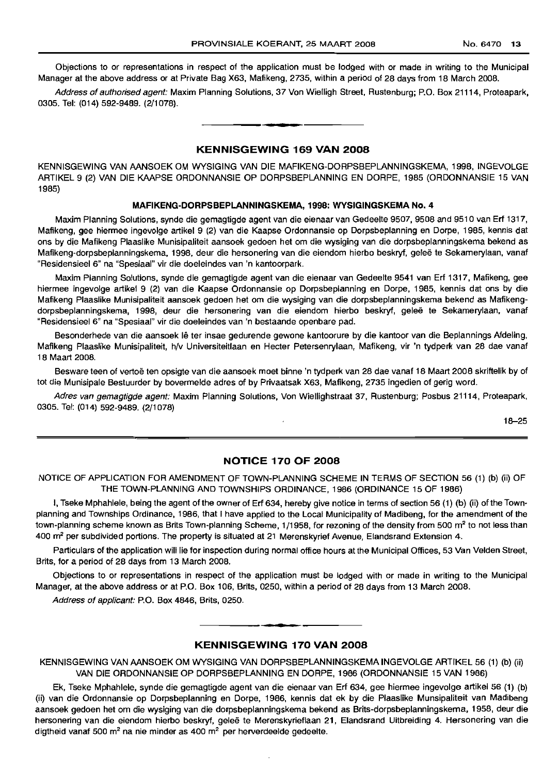Objections to or representations in respect of the application must be lodged with or made in writing to the Municipal Manager at the above address or at Private Bag X63, Mafikeng, 2735, within a period of 28 days from 18 March 2008.

Address of authorised agent: Maxim Planning Solutions, 37 Von Wielligh Street, Rustenburg; P.O. Box 21114, Proteapark, 0305. Tel: (014) 592-9489. (2/1078).

#### KENNISGEWING 169 VAN 2008

E **• I**

KENNISGEWING VAN MNSOEK OM WYSIGING VAN DIE MAFIKENG-DORPSBEPLANNINGSKEMA, 1998, INGEVOLGE ARTIKEL 9 (2) VAN DIE KAAPSE ORDONNANSIE OP DORPSBEPLANNING EN DORPE, 1985 (ORDONNANSIE 15 VAN 1985)

#### MAFIKENG-DORPSBEPLANNINGSKEMA, 1998: WYSIGINGSKEMA No.4

Maxim Planning Solutions, synde die gemagtigde agent van die eienaar van Gedeelte 9507, 9508 and 9510 van Erf 1317, Mafikeng, gee hiermee ingevolge artikel 9 (2) van die Kaapse Ordonnansie op Dorpsbeplanning en Dorpe, 1985, kennis dat ons by die Mafikeng Plaaslike Munisipaliteit aansoek gedoen het om die wysiging van die dorpsbeplanningskema bekend as Mafikeng-dorpsbeplanningskema, 1998, deur die hersonering van die eiendom hierbo beskryf, geleë te Sekamerylaan, vanaf "Residensieel 6" na "Spesiaal" vir die doeleindes van 'n kantoorpark.

Maxim Planning Solutions, synde die gemagtjgde agent van die eienaar van Gedeelte 9541 van Erf 1317, Mafikeng, gee hiermee ingevolge artikel 9 (2) van die Kaapse Ordonnansie op Dorpsbeplanning en Dorpe, 1985, kennis dat ons by die Mafikeng Plaaslike Munisipaliteit aansoek gedoen het om die wysiging van die dorpsbeplanningskema bekend as Mafikengdorpsbeplanningskema, 1998, deur die hersonering van die eiendom hierbo beskryf, gelee te Sekamerylaan, vanaf "Residensieel 6" na "Spesiaal" vir die doeleindes van 'n bestaande openbare pad.

Besonderhede van die aansoek Ie ter insae gedurende gewone kantoorure by die kantoor van die Beplannings Afdeling, Mafikeng Plaaslike Munisipaliteit, h/V Universiteitlaan en Heeter Petersenrylaan, Mafikeng, vir 'n tydperk van 28 dae vanaf 18 Maart 2008.

Besware teen of vertoë ten opsigte van die aansoek moet binne 'n tydperk van 28 dae vanaf 18 Maart 2008 skriftelik by of tot die Munisipale Bestuurder by bovermelde adres of by Privaatsak X63, Mafikeng, 2735 ingedien of gerig word.

Adres van gemagtigde agent: Maxim Planning Solutions, Von Wiellighstraat 37, Rustenburg; Posbus 21114, Proteapark, 0305. Tel: (014) 592-9489. (2/1078)

18-25

#### NOTICE 170 OF 2008

NOTICE OF APPLICATION FOR AMENDMENT OF TOWN-PLANNING SCHEME IN TERMS OF SECTION 56 (1) (b) (ii) OF THE TOWN-PLANNING AND TOWNSHIPS ORDINANCE, 1986 (ORDINANCE 15 OF 1986)

I, Tseke Mphahlele, being the agent of the owner of Erf 634, hereby give notice in terms of section 56 (1) (b) (ii) of the Townplanning and Townships Ordinance, 1986, that 1have applied to the Local Municipality of Madibeng, for the amendment of the town-planning scheme known as Brits Town-planning Scheme, 1/1958, for rezoning of the density from 500 m<sup>2</sup> to not less than 400 m<sup>2</sup> per subdivided portions. The property is situated at 21 Merenskyrief Avenue, Elandsrand Extension 4.

Particulars of the application will lie for inspection during normal office hours at the Municipal Offices, 53 Van Velden Street, Brits, for a period of 28 days from 13 March 2008.

Objections to or representations in respect of the application must be lodged with or made in writing to the Municipal Manager, at the above address or at P.O. Box 106, Brits, 0250, within a period of 28 days from 13 March 2008.

Address of applicant: P.O. Box 4846, Brits, 0250.

#### KENNISGEWING 170 VAN 2008

**.-**

KENNISGEWING VAN AANSOEK OM WYSIGING VAN DORPSBEPLANNINGSKEMA INGEVOLGE ARTIKEL 56 (1) (b) (ii) VAN DIE ORDONNANSIE OP DORPSBEPLANNING EN DORPE, 1986 (ORDONNANSIE 15 VAN 1986)

Ek, Tseke Mphahlele, synde die gemagtigde agent van die eienaar van Erf 634, gee hiermee ingevolge artikel 56 (1) (b) (ii) van die Ordonnansie op Dorpsbeplanning en Dorpe, 1986, kennis dat ek by die Plaaslike Munsipaliteit van Madibeng aansoek gedoen het om die wysiging van die dorpsbeplanningskema bekend as Brits-dorpsbeplanningskema, 1958, deur die hersonering van die eiendom hierbo beskryf, geleë te Merenskyrieflaan 21, Elandsrand Uitbreiding 4. Hersonering van die digtheid vanaf 500 m<sup>2</sup> na nie minder as 400 m<sup>2</sup> per herverdeelde gedeelte.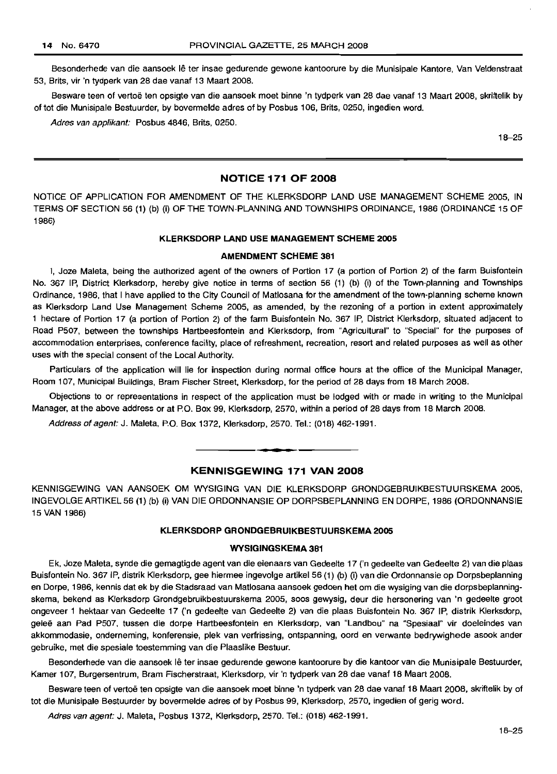Besonderhede van die aansoek Ie ter insae gedurende gewone kantoorure by die Munisipale Kantore, Van Veldenstraat 53, Brits, vir 'n tydperk van 28 dae vanaf 13 Maart 2008.

Besware teen of vertoe ten opsigte van die aansoek moet binne 'n tydperk van 28 dae vanaf 13 Maart 2008, skriftelik by of tot die Munisipale Bestuurder, by bovermelde adres of by Posbus 106, Brits, 0250, ingedien word.

Adres van applikant: Posbus 4846, Brits, 0250.

18-25

#### **NOTICE 171 OF 2008**

NOTICE OF APPLICATION FOR AMENDMENT OF THE KLERKSDORP LAND USE MANAGEMENT SCHEME 2005, IN TERMS OF SECTION 56 (1) (b) (i) OF THE TOWN-PLANNING AND TOWNSHIPS ORDINANCE, 1986 (ORDINANCE 15 OF 1986)

#### **KLERKSDORP LAND USE MANAGEMENT SCHEME 2005**

#### **AMENDMENT SCHEME 381**

I, Joze Maleta, being the authorized agent of the owners of Portion 17 (a portion of Portion 2) of the farm Buisfontein No. 367 IP, District Klerksdorp, hereby give notice in terms of section 56 (1) (b) (i) of the Town-planning and Townships Ordinance, 1986, that I have applied to the City Council of Matlosana for the amendment of the town-planning scheme known as Klerksdorp Land Use Management Scheme 2005, as amended, by the rezoning of a portion in extent approximately 1 hectare of Portion 17 (a portion of Portion 2) of the farm Buisfontein No. 367 IP, District Klerksdorp, situated adjacent to Road P507, between the townships Hartbeesfontein and Klerksdorp, from "Agricultural" to "Special" for the purposes of accommodation enterprises, conference facility, place of refreshment, recreation, resort and related purposes as well as other uses with the special consent of the Local Authority.

Particulars of the application will lie for inspection during normal office hours at the office of the Municipal Manager, Room 107, Municipal BUildings, Bram Fischer Street, Klerksdorp, for the period of 28 days from 18 March 2008.

Objections to or representations in respect of the application must be lodged with or made in writing to the Municipal Manager, at the above address or at P.O. Box 99, Klerksdorp, 2570, within a period of 28 days from 18 March 2008.

Address of agent: J. Maleta, P.O. Box 1372, Klerksdorp, 2570. Tel.: (018) 462-1991.

#### **KENNISGEWING 171 VAN 2008**

**u •**

KENNISGEWING VAN AANSOEK OM WYSIGING VAN DIE KLERKSDORP GRONDGEBRUIKBESTUURSKEMA 2005, INGEVOLGEARTIKEL56 (1) (b) (i) VAN DIE ORDONNANSIE OP DORPSBEPLANNING EN DORPE, 1986 (ORDONNANSIE 15 VAN 1986)

#### **KLERKSDORP GRONDGEBRUIKBESTUURSKEMA 2005**

#### **WVSIGINGSKEMA 381**

Ek, Joze Maleta, synde die gemagtigde agent van die eienaars van Gedeelte 17 ('n gedeelte van Gedeelte 2) van die plaas Buisfontein No. 367 IP, distrik Klerksdorp, gee hiermee ingevolge artikel 56 (1) (b) (i) van die Ordonnansie op Dorpsbeplanning en Dorpe, 1986, kennis dat ek by die Stadsraad van Matlosana aansoek gedoen het om die wysiging van die dorpsbeplanningskema, bekend as Klerksdorp Grondgebruikbestuurskema 2005, soos gewysig, deur die hersonering van 'n gedeelte groot ongeveer 1 hektaar van Gedeelte 17 ('n gedeelte van Gedeelte 2) van die plaas Buisfontein No. 367 IP, distrik Klerksdorp, geleë aan Pad P507, tussen die dorpe Hartbeesfontein en Klerksdorp, van "Landbou" na "Spesiaal" vir doeleindes van akkommodasie, onderneming, konferensie, plek van verfrissing, ontspanning, oord en verwante bedrywighede asook ander gebruike, met die spesiale toestemming van die Plaaslike Bestuur.

Besonderhede van die aansoek lê ter insae gedurende gewone kantoorure by die kantoor van die Munisipale Bestuurder, Kamer 107, Burgersentrum, Bram Fischerstraat, Klerksdorp, vir 'n tydperk van 28 dae vanaf 18 Maart 2008.

Besware teen of vertoë ten opsigte van die aansoek moet binne 'n tydperk van 28 dae vanaf 18 Maart 2008, skriftelik by of tot die Munisipale Bestuurder by bovermelde adres of by Posbus 99, Klerksdorp, 2570, ingedien of gerig word.

Adres van agent: J. Maleta, Posbus 1372, Klerksdorp, 2570. Tel.: (018) 462-1991.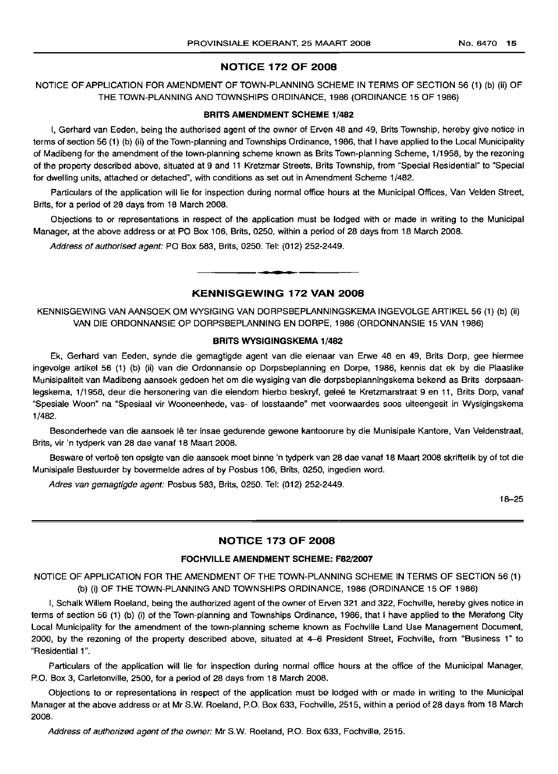#### **NOTICE 172 OF 2008**

NOTICE OF APPLICATION FOR AMENDMENT OF TOWN-PLANNING SCHEME IN TERMS OF SECTION 56 (1) (b) (ii) OF THE TOWN-PLANNING AND TOWNSHIPS ORDINANCE, 1986 (ORDINANCE 15 OF 1986)

#### **BRITS AMENDMENT SCHEME** 1/482

I, Gerhard van Eeden, being the authorised agent of the owner of Erven 48 and 49, Brits Township, hereby give notice in terms of section 56 (1) (b) (ii) of the Town-planning and Townships Ordinance, 1986, that I have applied to the Local Municipality of Madibeng for the amendment of the town-planning scheme known as Brits Town-planning Scheme, 1/1958, by the rezoning of the property described above, situated at 9 and 11 Kretzmar Streets, Brits Township, from "Special Residential" to "Special for dwelling units, attached or detached", with conditions as set out in Amendment Scheme 1/482.

Particulars of the application will lie for inspection during normal office hours at the Municipal Offices, Van Velden Street, Brits, for a period of 28 days from 18 March 2008.

Objections to or representations in respect of the application must be lodged with or made in writing to the Municipal Manager, at the above address or at PO Box 106, Brits, 0250, within a period of 28 days from 18 March 2008.

Address of authorised agent: PO Box 583, Brits, 0250. Tel: (012) 252-2449.

#### **KENNISGEWING 172 VAN 2008**

**• •**

KENNISGEWING VAN AANSOEK OM WYSIGING VAN DORPSBEPLANNINGSKEMA INGEVOLGE ARTIKEL 56 (1) (b) (ii) VAN DIE ORDONNANSIE OP DORPSBEPLANNING EN DORPE, 1986 (ORDONNANSIE 15 VAN 1986)

#### **BRITS WYSIGINGSKEMA** 1/482

Ek, Gerhard van Eeden, synde die gemagtigde agent van die eienaar van Erwe 48 en 49, Brits Dorp, gee hiermee ingevolge artikel 56 (1) (b) (ii) van die Ordonnansie op Dorpsbeplanning en Dorpe, 1986, kennis dat ek by die Plaaslike Munisipaliteit van Madibeng aansoek gedoen het om die wysiging van die dorpsbeplanningskema bekend as Brits dorpsaanlegskema, 1/1958, deur die hersonering van die eiendom hierbo beskryf, gelee te Kretzmarstraat 9 en 11, Brits Dorp, vanaf "Spesiale Woon" na "Spesiaal vir Wooneenhede, vas- of losstaande" met voorwaardes soos uiteengesit in Wysigingskema 1/482.

Besonderhede van die aansoek lê ter insae gedurende gewone kantoorure by die Munisipale Kantore, Van Veldenstraat, Brits, vir 'n tydperk van 28 dae vanaf 18 Maart 2008.

Besware of vertoë ten opsigte van die aansoek moet binne 'n tydperk van 28 dae vanaf 18 Maart 2008 skriftelik by of tot die Munisipale Bestuurder by bovermelde adres of by Posbus 106, Brits, 0250, ingedien word.

Adres van gemagtigde agent: Posbus 583, Brits, 0250. Tel: (012) 252-2449.

18-25

#### **NOTICE 173 OF 2008**

#### **FOCHVILLE AMENDMENT SCHEME: F82/2007**

NOTICE OF APPLICATION FOR THE AMENDMENT OF THE TOWN-PLANNING SCHEME IN TERMS OF SECTION 56 (1) (b) (i) OF THE TOWN-PLANNING AND TOWNSHIPS ORDINANCE, 1986 (ORDINANCE 15 OF 1986)

I, Schalk Willem Roeland, being the authorized agent of the owner of Erven 321 and 322, Fochville, hereby gives notice in terms of section 56 (1) (b) (i) of the Town-planning and Townships Ordinance, 1986, that I have applied to the Merafong City Local Municipality for the amendment of the town-planning scheme known as Fochville Land Use Management Document, 2000, by the rezoning of the property described above, situated at 4-6 President Street, Fochville, from "Business 1" to "Residential 1".

Particulars of the application will lie for inspection during normal office hours at the office of the Municipal Manager, P.O. Box 3, Carletonville, 2500, for a period of 28 days from 18 March 2008.

Objections to or representations in respect of the application must be lodged with or made in writing to the Municipal Manager at the above address or at Mr S.w. Roeland, P.O. Box 633, Fochville, 2515, within a period of 28 days from 18 March 2008.

Address of authorized agent of the owner: Mr S.W. Roeland, P.O. Box 633, Fochville, 2515.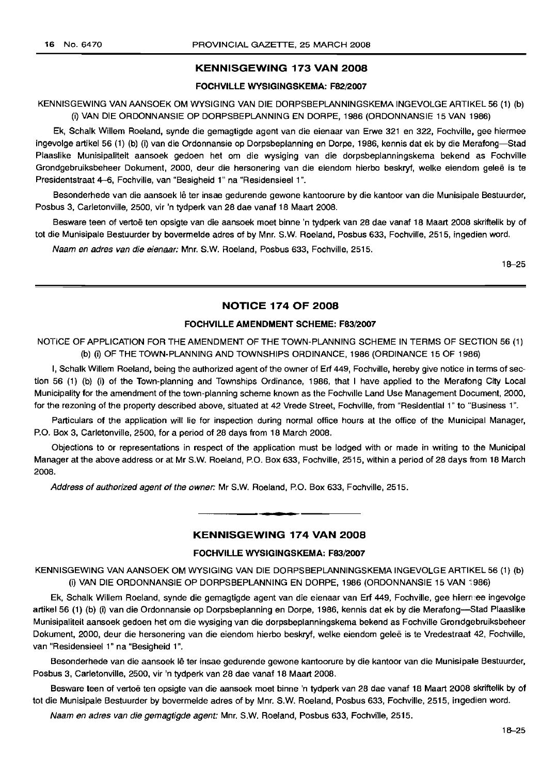#### KENNISGEWING 173 VAN 2008

#### FOCHVILLE WYSIGINGSKEMA: F82/2007

KENNISGEWING VAN AANSOEK OM WYSIGING VAN DIE DORPSBEPLANNINGSKEMA INGEVOLGE ARTIKEL 56 (1) (b) (i) VAN DIE ORDONNANSIE OP DORPSBEPLANNING EN DORPE, 1986 (ORDONNANSIE 15 VAN 1986)

Ek, Schalk Willem Roeland, synde die gemagtigde agent van die eienaar van Erwe 321 en 322, Fochville, gee hiermee ingevolge artikel 56 (1) (b) (i) van die Ordonnansie op Dorpsbeplanning en Dorpe, 1986, kennis dat ek by die Merafong-Stad Plaaslike Munisipaliteit aansoek gedoen het om die wysiging van die dorpsbeplanningskema bekend as Fochville Grondgebruiksbeheer Dokument, 2000, deur die hersonering van die eiendom hierbo beskryf, welke eiendom gelee is te Presidentstraat 4-6, Fochville, van "Besigheid 1" na "Residensieel 1".

Besonderhede van die aansoek lê ter insae gedurende gewone kantoorure by die kantoor van die Munisipale Bestuurder, Posbus 3, Carletonville, 2500, vir 'n tydperk van 28 dae vanaf 18 Maart 2008.

Besware teen of vertoë ten opsigte van die aansoek moet binne 'n tydperk van 28 dae vanaf 18 Maart 2008 skriftelik by of tot die Munisipale Bestuurder by bovermelde adres of by Mm. S.W. Roeland, Posbus 633, Fochville, 2515, ingedien word.

Naam en adres van die eienaar: Mm. S.W. Roeland, Posbus 633, Fochville, 2515.

18-25

#### NOTICE 174 OF 2008

#### FOCHVILLE AMENDMENT SCHEME: F83/2007

NOTICE OF APPLICATION FOR THE AMENDMENT OF THE TOWN-PLANNING SCHEME IN TERMS OF SECTION 56 (1) (b) (i) OF THE TOWN-PLANNING AND TOWNSHIPS ORDINANCE, 1986 (ORDINANCE 15 OF 1986)

I, Schalk Willem Roeland, being the authorized agent of the owner of Erf 449, Fochville, hereby give notice in terms of section 56 (1) (b) (i) of the Town-planning and Townships Ordinance, 1986, that I have applied to the Merafong City Local Municipality for the amendment of the town-planning scheme known as the Fochville Land Use Management Document, 2000, for the rezoning of the property described above, situated at 42 Vrede Street, Fochville, from "Residential 1" to "Business 1".

Particulars of the application will lie for inspection during normal office hours at the office of the Municipal Manager, P.O. Box 3, Carletonville, 2500, for a period of 28 days from 18 March 2008.

Objections to or representations in respect of the application must be lodged with or made in writing to the Municipal Manager at the above address or at Mr S.W. Roeland, P.O. Box 633, Fochville, 2515, within a period of 28 days from 18 March 2008.

Address of authorized agent of the owner: Mr S.w. Roeland, P.O. Box 633, Fochville, 2515.

#### KENNISGEWING 174 VAN 2008

**• •**

#### FOCHVILLE WYSIGINGSKEMA: F83/2007

KENNISGEWING VAN AANSOEK OM WYSIGING VAN DIE DORPSBEPLANNINGSKEMA INGEVOLGE ARTIKEL 56 (1) (b) (i) VAN DIE ORDONNANSIE OP DORPSBEPLANNING EN DORPE, 1986 (ORDONNANSIE 15 VAN ~986)

Ek, Schalk Willem Roeland, synde die gemagtigde agent van die eienaar van Erf 449, Fochville, gee hiermee ingevolge artikel 56 (1) (b) (i) van die Ordonnansie op Dorpsbeplanning en Dorpe, 1986, kennis dat ek by die Merafong-Stad Plaaslike Munisipaliteit aansoek gedoen het om die wysiging van die dorpsbeplanningskema bekend as Fochville Grondgebruiksbeheer Dokument, 2000, deur die hersonering van die eiendom hierbo beskryf, welke eiendom gelee is te Vredestraat 42, Fochville, van "Residensieel 1" na "Besigheid 1".

Besonderhede van die aansoek Ie ter insae gedurende gewone kantoorure by die kantoor van die Munisipale Bestuurder, Posbus 3, Carletonville, 2500, vir 'n tydperk van 28 dae vanaf 18 Maart 2008.

Besware teen of vertoe ten opsigte van die aansoek moet binne 'n tydperk van 28 dae vanaf 18 Maart 2008 skriftelik by of tot die Munisipale Bestuurder by bovermelde adres of by Mnr. S.W. Roeland, Posbus 633, Fochville, 2515, ingedien word.

Naam en adres van die gemagtigde agent: Mm. S.W. Roeland, Posbus 633, Fochville, 2515.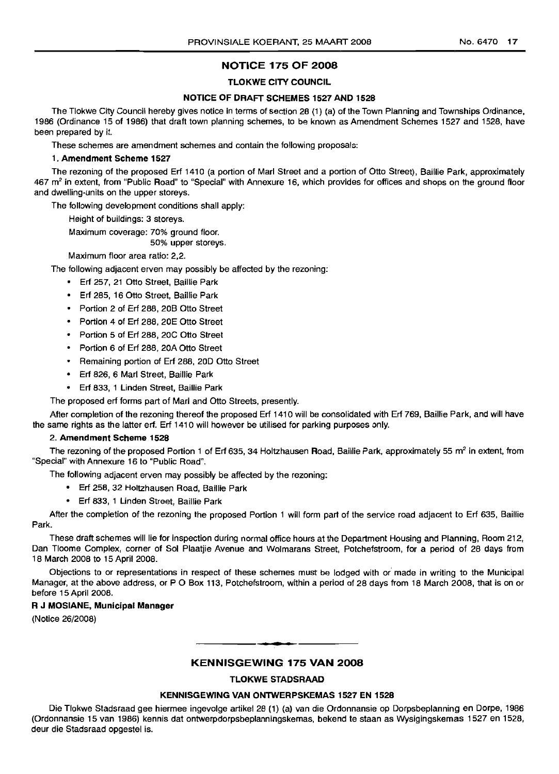#### **NOTICE 175 OF 2008**

#### **TLOKWE CITY COUNCIL**

#### **NOTICE OF DRAFT SCHEMES 1527 AND 1528**

The Tlokwe City Council hereby gives notice in terms of section 28 (1) (a) of the Town Planning and Townships Ordinance, 1986 (Ordinance 15 of 1986) that draft town planning schemes, to be known as Amendment Schemes 1527 and 1528, have been prepared by it.

These schemes are amendment schemes and contain the following proposals:

#### 1. **Amendment Scheme 1527**

The rezoning of the proposed Erf 1410 (a portion of Marl Street and a portion of Otto Street), Baillie Park, approximately 467 m<sup>2</sup> in extent, from "Public Road" to "Special" with Annexure 16, which provides for offices and shops on the ground floor and dwelling-units on the upper storeys.

The following development conditions shall apply:

Height of buildings: 3 storeys.

Maximum coverage: 70% ground floor.

50% upper storeys.

Maximum floor area ratio: 2,2.

The following adjacent erven may possibly be affected by the rezoning:

- Erf 257, 21 Otto Street, Baillie Park
- Erf 285, 16 Otto Street, Baillie Park
- Portion 2 of Erf 288, 20B Otto Street
- Portion 4 of Erf 288, 20E Otto Street
- Portion 5 of Erf 288, 20C Otto Street
- Portion 6 of Erf 288, 20A Otto Street
- Remaining portion of Erf 288, 20D Otto Street
- Erf 826, 6 Marl Street, Baillie Park
- Erf 833, 1 Linden Street, Baillie Park

The proposed erf forms part of Marl and Otto Streets, presently.

After completion of the rezoning thereof the proposed Erf 1410 will be consolidated with Erf 769, Baillie Park, and will have the same rights as the latter erf. Erf 1410 will however be utilised for parking purposes only.

#### 2. **Amendment Scheme 1528**

The rezoning of the proposed Portion 1 of Erf 635, 34 Holtzhausen Road, Baillie Park, approximately 55 m<sup>2</sup> in extent, from "Special" with Annexure 16 to "Public Road".

The following adjacent erven may possibly be affected by the rezoning:

- Erf 258, 32 Holtzhausen Road, Baillie Park
- Erf 833, 1 Linden Street, Baillie Park

After the completion of the rezoning the proposed Portion 1 will form part of the service road adjacent to Erf 635, Baillie Park.

These draft schemes will lie for inspection during normal office hours at the Department Housing and Planning, Room 212, Dan Tloome Complex, corner of Sol Plaatjie Avenue and Wolmarans Street, Potchefstroom, for a period of 28 days from 18 March 2008 to 15 April 2008.

Objections to or representations in respect of these schemes must be lodged with or made in writing to the Municipal Manager, at the above address, or P O Box 113, Potchefstroom, within a period of 28 days from 18 March 2008, that is on or before 15 April 2008.

#### R **J MOSIANE, Municipal Manager**

(Notice 26/2008)

#### **KENNISGEWING 175 VAN 2008**

.**- .**

#### **TLOKWE STADSRAAD**

#### **KENNISGEWING VAN ONTWERPSKEMAS 1527 EN 1528**

Die Tlokwe Stadsraad gee hiermee ingevolge artikel 28 (1) (a) van die Ordonnansie op Dorpsbeplanning en Dorpe, 1986 (Ordonnansie 15 van 1986) kennis dat ontwerpdorpsbeplanningskemas, bekend te staan as Wysigingskemas 1527 en 1528, deur die Stadsraad opgestel is.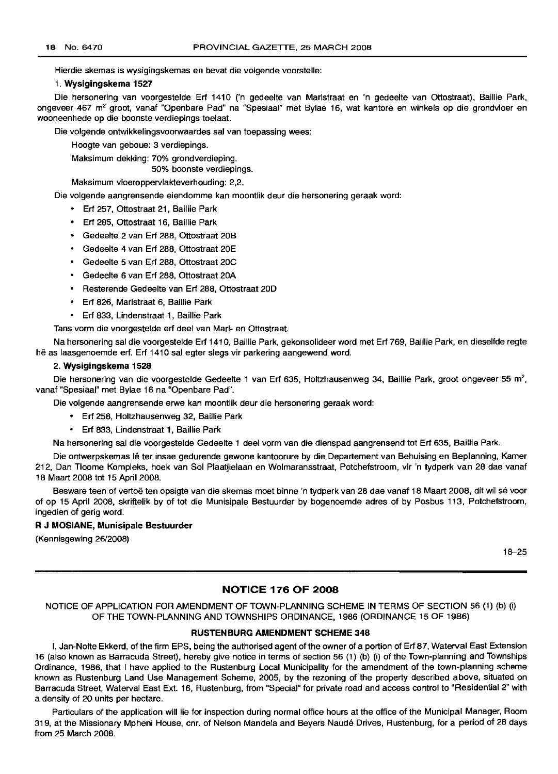Hierdie skemas is wysigingskemas en bevat die volgende voorstelle:

#### 1. **Wysigingskema 1527**

Die hersonering van voorgestelde Erf 1410 ('n gedeelte van Marlstraat en 'n gedeelte van Ottostraat), Baillie Park, ongeveer 467 m<sup>2</sup> groot, vanaf "Openbare Pad" na "Spesiaal" met Bylae 16, wat kantore en winkels op die grondvloer en wooneenhede op die boonste verdiepings toelaat.

Die volgende ontwikkelingsvoorwaardes sal van toepassing wees:

Hoogte van geboue: 3 verdiepings.

Maksimum dekking: 70% grondverdieping.

50% boonste verdiepings.

Maksimum vloeroppervlakteverhouding: 2,2.

Die volgende aangrensende eiendomme kan moontlik deur die hersonering geraak word:

- Erf 257, Ottostraat 21, Baillie Park
- Erf 285, Ottostraat 16, Baillie Park
- Gedeelte 2 van Erf 288, Ottostraat 20B
- Gedeelte 4 van Erf 288, Ottostraat 20E
- Gedeelte 5 van Erf 288, Ottostraat 20C
- Gedeelte 6 van Erf 288, Ottostraat 20A
- Resterende Gedeelte van Erf 288, Ottostraat 20D
- Erf 826, Marlstraat 6, Baillie Park
- Erf 833, Lindenstraat 1, Baillie Park

Tans vorm die voorgestelde erf deel van Marl- en Ottostraat.

Na hersonering sal die voorgestelde Erf 1410, Baillie Park, gekonsolideer word met Erf 769, Baillie Park, en dieselfde regte hê as laasgenoemde erf. Erf 1410 sal egter slegs vir parkering aangewend word.

#### 2. **Wysigingskema 1528**

Die hersonering van die voorgestelde Gedeelte 1 van Erf 635, Holtzhausenweg 34, Baillie Park, groot ongeveer 55 m<sup>2</sup>, vanaf "Spesiaal" met Bylae 16 na "Openbare Pad".

Die volgende aangrensende erwe kan moontlik deur die hersonering geraak word:

- Erf 258, Holtzhausenweg 32, Baillie Park
- Erf 833, Lindenstraat 1, Baillie Park

Na hersonering sal die voorgestelde Gedeelte 1 deel vorm van die dienspad aangrensend tot Erf 635, Baillie Park.

Die ontwerpskemas Iê ter insae gedurende gewone kantoorure by die Departement van Behuising en Beplanning, Kamer 212, Dan Tloome Kompleks, hoek van Sol Plaatjielaan en Wolmaransstraat, Potchefstroom, vir 'n tydperk van 28 dae vanaf 18 Maart 2008 tot 15 April 2008.

Besware teen of vertoë ten opsigte van die skemas moet binne 'n tydperk van 28 dae vanaf 18 Maart 2008, dit wil sé voor of op 15 April 2008, skriftelik by of tot die Munisipale Bestuurder by bogenoemde adres of by Posbus 113, Potchefstroom, ingedien of gerig word.

#### R **J MOSIANE, Munisipale Bestuurder**

(Kennisgewing 26/2008)

18-25

#### **NOTICE 176 OF 2008**

NOTICE OF APPLICATION FOR AMENDMENT OF TOWN-PLANNING SCHEME IN TERMS OF SECTION 56 (1) (b) (i) OF THE TOWN-PLANNING AND TOWNSHIPS ORDINANCE, 1986 (ORDINANCE 15 OF 1986)

#### **RUSTENBURG AMENDMENT SCHEME 348**

I, Jan-Nolte Ekkerd, of the firm EPS, being the authorised agent of the owner of a portion of Erf 87, Waterval East Extension 16 (also known as Barracuda Street), hereby give notice in terms of section 56 (1) (b) (i) of the Town-planning and Townships Ordinance, 1986, that I have applied to the Rustenburg Local Municipality for the amendment of the town-planning scheme known as Rustenburg Land Use Management Scheme, 2005, by the rezoning of the property described above, situated on Barracuda Street, Waterval East Ext. 16, Rustenburg, from "Special" for private road and access control to "Residential 2" with a density of 20 units per hectare.

Particulars of the application will lie for inspection during normal office hours at the office of the Municipal Manager, Room 319, at the Missionary Mpheni House, cnr. of Nelson Mandela and Beyers Naude Drives, Rustenburg, for a period of 28 days from 25 March 2008.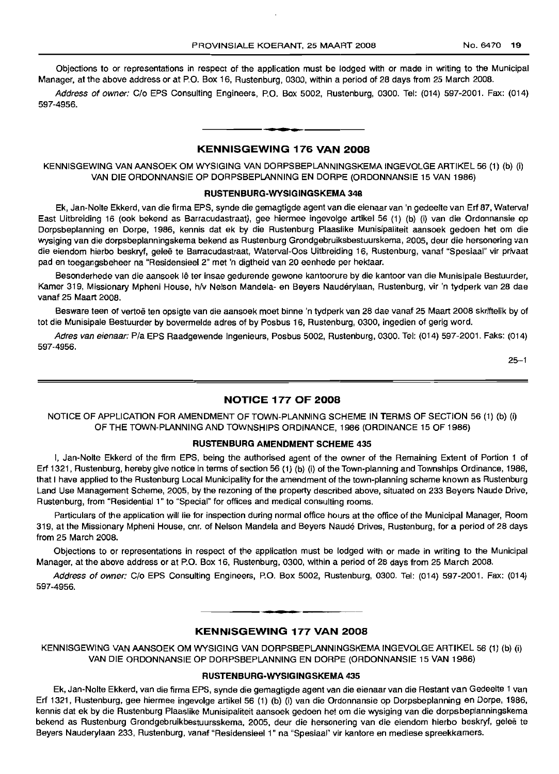Objections to or representations in respect of the application must be lodged with or made in writing to the Municipal Manager, at the above address or at P.O. Box 16, Rustenburg, 0300, within a period of 28 days from 25 March 2008.

Address of owner: C/o EPS Consulting Engineers, P.O. Box 5002, Rustenburg, 0300. Tel: (014) 597-2001. Fax: (014) 597-4956.

#### **KENNISGEWING 176 VAN 2008**

I **\_ I**

KENNISGEWING VAN AANSOEK OM WYSIGING VAN DORPSBEPLANNINGSKEMA INGEVOLGE ARTIKEL 56 (1) (b) (i) VAN DIE ORDONNANSIE OP DORPSBEPLANNING EN DORPE (ORDONNANSIE 15 VAN 1986)

#### **RUSTENBURG-WYSIGINGSKEMA 348**

Ek, Jan-Nolte Ekkerd, van die firma EPS, synde die gemagtigde agent van die eienaar van 'n gedeelte van Erf 87, Waterval East Uitbreiding 16 (ook bekend as Barracudastraat), gee hiermee ingevolge artikel 56 (1) (b) (i) van die Ordonnansie op Dorpsbeplanning en Dorpe, 1986, kennis dat ek by die Rustenburg Plaaslike Munisipaliteit aansoek gedoen het om die wysiging van die dorpsbeplanningskema bekend as Rustenburg Grondgebruiksbestuurskema, 2005, deur die hersonering van die eiendom hierbo beskryf, geleë te Barracudastraat, Waterval-Oos Uitbreiding 16, Rustenburg, vanaf "Spesiaal" vir privaat pad en toegangsbeheer na "Residensieel 2" met 'n digtheid van 20 eenhede per hektaar.

Besonderhede van die aansoek lê ter insae gedurende gewone kantoorure by die kantoor van die Munisipale Bestuurder, Kamer 319, Missionary Mpheni House, h/v Nelson Mandela- en Beyers Naudérylaan, Rustenburg, vir 'n tydperk van 28 dae vanaf 25 Maart 2008.

Besware teen of vertoë ten opsigte van die aansoek moet binne 'n tydperk van 28 dae vanaf 25 Maart 2008 skriftelik by of tot die Munisipale Bestuurder by bovermelde adres of by Posbus 16, Rustenburg, 0300, ingedien of gerig word.

Adres van eienaar: Pia EPS Raadgewende Ingenieurs, Posbus 5002, Rustenburg, 0300. Tel: (014) 597-2001. Faks: (014) 597-4956.

 $25 - 1$ 

#### **NOTICE 177 OF 2008**

NOTICE OF APPLICATION FOR AMENDMENT OF TOWN-PLANNING SCHEME IN TERMS OF SECTION 56 (1) (b) (i) OF THE TOWN-PLANNING AND TOWNSHIPS ORDINANCE, 1986 (ORDINANCE 15 OF 1986)

#### **RUSTENBURG AMENDMENT SCHEME 435**

I, Jan-Nolte Ekkerd of the firm EPS, being the authorised agent of the owner of the Remaining Extent of Portion 1 of Erf 1321, Rustenburg, hereby give notice in terms of section 56 (1) (b) (i) of the Town-planning and Townships Ordinance, 1986, that I have applied to the Rustenburg Local Municipality for the amendment of the town-planning scheme known as Rustenburg Land Use Management Scheme, 2005, by the rezoning of the property described above, situated on 233 Beyers Naude Drive, Rustenburg, from "Residential 1" to "Special" for offices and medical consulting rooms.

Particulars of the application will lie for inspection during normal office hours at the office of the Municipal Manager, Room 319, at the Missionary Mpheni House, cnr, of Nelson Mandela and Beyers Naude Drives, Rustenburg, for a period of 28 days from 25 March 2008.

Objections to or representations in respect of the application must be lodged with or made in writing to the Municipal Manager, at the above address or at P.O. Box 16, Rustenburg, 0300, within a period of 28 days from 25 March 2008.

Address of owner: C/o EPS Consulting Engineers, P.O. Box 5002, Rustenburg, 0300. Tel: (014) 597-2001. Fax: (014) 597-4956.

#### **KENNISGEWING 177 VAN 2008**

**• •**

KENNISGEWING VAN AANSOEK OM WYSIGING VAN DORPSBEPLANNINGSKEMA INGEVOLGE ARTIKEL 56 (1) (b) (i) VAN DIE ORDONNANSIE OP DORPSBEPLANNING EN DORPE (ORDONNANSIE 15 VAN 1986)

#### **RUSTENBURG·WYSIGINGSKEMA 435**

Ek, Jan-Nolte Ekkerd, van die firma EPS, synde die gemagtigde agent van die eienaar van die Restant van Gedeelte 1 van Erf 1321, Rustenburg, gee hiermee ingevolge artikel 56 (1) (b) (i) van die Ordonnansie op Dorpsbeplanning en Dorpe, 1986, kennis dat ek by die Rustenburg Plaaslike Munisipaliteit aansoek gedoen het om die wysiging van die dorpsbeplanningskema bekend as Rustenburg Grondgebruikbestuursskema, 2005, deur die hersonering van die eiendom hierbo beskryf, gelee te Beyers Nauderylaan 233, Rustenburg, vanaf "Residensieel 1" na "Spesiaal" vir kantore en mediese spreekkamers.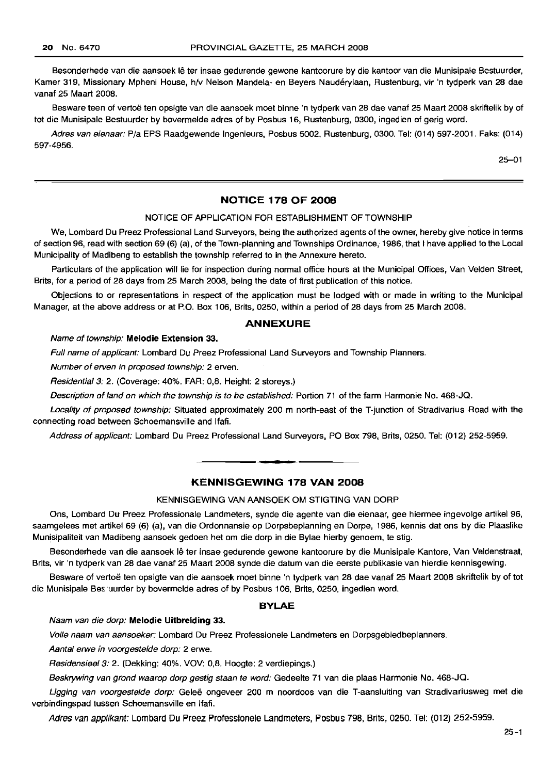Besonderhede van die aansoek lê ter insae gedurende gewone kantoorure by die kantoor van die Munisipale Bestuurder, Kamer 319, Missionary Mpheni House, h/v Nelson Mandela- en Bevers Naudérylaan, Rustenburg, vir 'n tydperk van 28 dae vanaf 25 Maart 2008.

Besware teen of vertoë ten opsigte van die aansoek moet binne 'n tydperk van 28 dae vanaf 25 Maart 2008 skriftelik by of tot die Munisipale Bestuurder by bovermelde adres of by Posbus 16, Rustenburg, 0300, ingedien of gerig word.

Adres van eienaar: Pia EPS Raadgewende Ingenieurs, Posbus 5002, Rustenburg, 0300. Tel: (014) 597-2001. Faks: (014) 597-4956.

25-01

#### **NOTICE 178 OF 2008**

#### NOTICE OF APPLICATION FOR ESTABLISHMENT OF TOWNSHIP

We, Lombard Du Preez Professional Land Surveyors, being the authorized agents of the owner, hereby give notice in terms of section 96, read with section 69 (6) (a), of the Town-planning and Townships Ordinance, 1986, that I have applied to the Local Municipality of Madibeng to establish the township referred to in the Annexure hereto.

Particulars of the application will lie for inspection during normal office hours at the Municipal Offices, Van Velden Street, Brits, for a period of 28 days from 25 March 2008, being the date of first publication of this notice.

Objections to or representations in respect of the application must be lodged with or made in writing to the Municipal Manager, at the above address or at P.O. Box 106, Brits, 0250, within a period of 28 days from 25 March 2008.

#### **ANNEXURE**

#### Name of township: **Melodie Extension** 33.

Full name of applicant: Lombard Du Preez Professional Land Surveyors and Township Planners.

Number of erven in proposed township: 2 erven.

Residential 3: 2. (Coverage: 40%. FAR: 0,8. Height: 2 storeys.)

Description of land on which the township is to be established: Portion 71 of the farm Harmonie No. 468-JQ.

Locality of proposed township: Situated approximately 200 m north-east of the T-junction of Stradivarius Road with the connecting road between Schoemansville and Ifafi.

Address of applicant: Lombard Du Preez Professional Land Surveyors, PO Box 798, Brits, 0250. Tel: (012) 252-5959.

#### **KENNISGEWING 178 VAN 2008**

**•**

#### KENNISGEWING VAN AANSOEK OM STIGTING VAN DORP

Ons, Lombard Du Preez Professionale Landmeters, synde die agente van die eienaar, gee hiermee ingevolge artikel 96, saamgelees met artikel 69 (6) (a), van die Ordonnansie op Dorpsbeplanning en Dorpe, 1986, kennis dat ons by die Plaaslike Munisipaliteit van Madibeng aansoek gedoen het om die dorp in die Bylae hierby genoem, te stig.

Besonderhede van die aansoek Ie ter insae gedurende gewone kantoorure by die Munisipale Kantore, Van Veldenstraat, Brits, vir 'n tydperk van 28 dae vanaf 25 Maart 2008 synde die datum van die eerste publikasie van hierdie kennisgewing.

Besware of vertoë ten opsigte van die aansoek moet binne 'n tydperk van 28 dae vanaf 25 Maart 2008 skriftelik by of tot die Munisipale Bes uurder by bovermelde adres of by Posbus 106, Brits, 0250, ingedien word.

#### **BYLAE**

Naam van die dorp: **Melodie Uitbrelding** 33.

Volle naam van aansoeker: Lombard Du Preez Professionele Landmeters en Dorpsgebiedbeplanners.

Aantal erwe in voorgestelde dorp: 2 erwe.

Residensieel3: 2. (Dekking: 40%. VOV: 0,8. Hoogte: 2 verdiepings.)

Beskrywing van grond waarop dorp gestig staan te word: Gedeelte 71 van die plaas Harmonie No. 468-JQ.

Ligging van voorgestelde dorp: Geleë ongeveer 200 m noordoos van die T-aansluiting van Stradivariusweg met die verbindingspad tussen Schoemansville en Ifafi.

Adres van applikant: Lombard Du Preez Professionele Landmeters, Posbus 798, Brits, 0250. Tel: (012) 252-5959.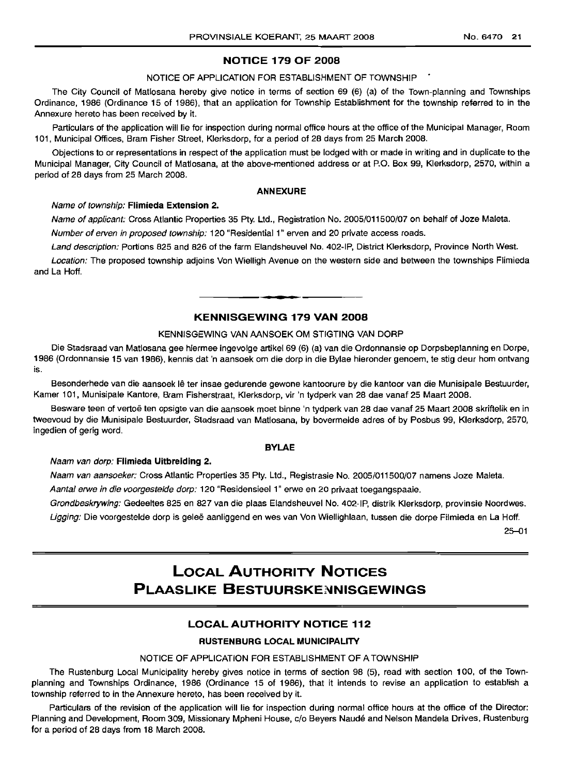#### **NOTICE 179 OF 2008**

#### NOTICE OF APPLICATION FOR ESTABLISHMENT OF TOWNSHIP

The City Council of Matlosana hereby give notice in terms of section 69 (6) (a) of the Town-planning and Townships Ordinance, 1986 (Ordinance 15 of 1986), that an application for Township Establishment for the township referred to in the Annexure hereto has been received by it.

Particulars of the application will lie for inspection during normal office hours at the office of the Municipal Manager, Room 101, Municipal Offices, Bram Fisher Street, Klerksdorp, for a period of 28 days from 25 March 2008.

Objections to or representations in respect of the application must be lodged with or made in writing and in duplicate to the Municipal Manager, City Council of Matlosana, at the above-mentioned address or at P.O. Box 99, Klerksdorp, 2570, within a period of 28 days from 25 March 2008.

#### **ANNEXURE**

#### Name of township: **Flimieda Extension** 2.

Name of applicant: Cross Atlantic Properties 35 Pty. Ltd., Registration No. 2005/011500/07 on behalf of Joze Maleta.

Number of erven in proposed township: 120 "Residential 1" erven and 20 private access roads.

Land description: Portions 825 and 826 of the farm Elandsheuvel No. 402-IP, District Klerksdorp, Province North West.

Location: The proposed township adjoins Von Wielligh Avenue on the western side and between the townships Flimieda and La Hoff.

## **• KENNISGEWING 179 VAN 2008**

#### KENNISGEWING VAN AANSOEK OM STIGTING VAN DORP

Die Stadsraad van Matlosana gee hiermee ingevolge artikel 69 (6) (a) van die Ordonnansie op Dorpsbeplanning en Dorpe, 1986 (Ordonnansie 15 van 1986), kennis dat 'n aansoek om die dorp in die Bylae hieronder genoem, te stig deur hom ontvang is.

Besonderhede van die aansoek Ie ter insae gedurende gewone kantoorure by die kantoor van die Munisipale Bestuurder, Kamer 101, Munisipale Kantore, Bram Fisherstraat, Klerksdorp, vir 'n tydperk van 28 dae vanaf 25 Maart 2008.

Besware teen of vertoë ten opsigte van die aansoek moet binne 'n tydperk van 28 dae vanaf 25 Maart 2008 skriftelik en in tweevoud by die Munisipale Bestuurder, Stadsraad van Matlosana, by bovermelde adres of by Posbus 99, Klerksdorp, 2570, ingedien of gerig word.

#### **BYLAE**

#### Naam van dorp: **Flimieda Uitbreiding** 2.

Naam van aansoeker: Cross Atlantic Properties 35 Pty. Ltd., Registrasie No. 2005/011500/07 namens Joze Maleta.

Aantal erwe in die voorgestelde dorp: 120 "Residensieel 1" erwe en 20 privaat toegangspaaie.

Grondbeskrywing: Gedeeltes 825 en 827 van die plaas Elandsheuvel No. 402-IP, distrik Klerksdorp, provinsie Noordwes.

Ligging: Die voorgestelde dorp is geleë aanliggend en wes van Von Wiellighlaan, tussen die dorpe Filmieda en La Hoff.

25-01

## **LOCAL AUTHORITY NOTICES PLAASLIKE BESTUURSKENNISGEWINGS**

#### **LOCAL AUTHORITY NOTICE 112**

#### **RUSTENBURG LOCAL MUNICIPALITY**

#### NOTICE OF APPLICATION FOR ESTABLISHMENT OF A TOWNSHIP

The Rustenburg Local Municipality hereby gives notice in terms of section 98 (5), read with section 100, of the Townplanning and Townships Ordinance, 1986 (Ordinance 15 of 1986), that it intends to revise an application to establish a township referred to in the Annexure hereto, has been received by it.

Particulars of the revision of the application will lie for inspection during normal office hours at the office of the Director: Planning and Development, Room 309, Missionary Mpheni House, c/o Beyers Naude and Nelson Mandela Drives, Rustenburg for a period of 28 days from 18 March 2008.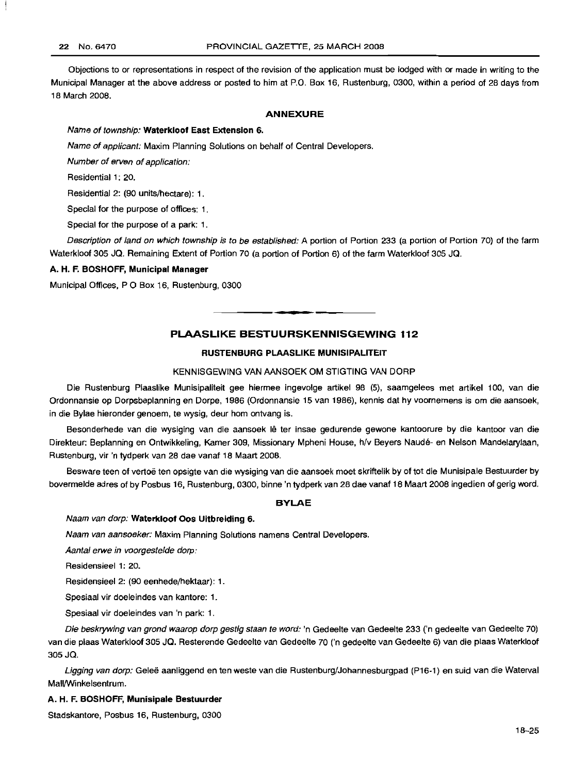Objections to or representations in respect of the revision of the application must be lodged with or made in writing to the Municipal Manager at the above address or posted to him at P.O. Box 16, Rustenburg, 0300, within a period of 28 days from 18 March 2008.

#### ANNEXURE

#### Name of township: Waterkloof East Extension 6.

Name of applicant: Maxim Planning Solutions on behalf of Central Developers.

Number of erven of application:

Residential 1: 20.

Residential 2: (90 units/hectare): 1.

Special for the purpose of offices: 1.

Special for the purpose of a park: 1.

Description of land on which township is to be established: A portion of Portion 233 (a portion of Portion 70) of the farm Waterkloof 305 JQ. Remaining Extent of Portion 70 (a portion of Portion 6) of the farm Waterkloof 305 JQ.

#### A. H. F. BOSHOFF, Municipal Manager

Municipal Offices, P O Box 16, Rustenburg, 0300

#### PLAASLIKE BESTUURSKENNISGEWING 112

**•**

#### RUSTENBURG PLAASLIKE MUNISIPALITEIT

#### KENNISGEWING VAN AANSOEK OM STIGTING VAN DORP

Die Rustenburg Plaaslike Munisipaliteit gee hiermee ingevolge artikel 98 (5), saamgelees met artikel 100, van die Ordonnansie op Dorpsbeplanning en Dorpe, 1986 (Ordonnansie 15 van 1986), kennis dat hy voornemens is om die aansoek, in die Bylae hieronder genoem, te wysig, deur hom ontvang is.

Besonderhede van die wysiging van die aansoek lê ter insae gedurende gewone kantoorure by die kantoor van die Direkteur: Beplanning en Ontwikkeling, Kamer 309, Missionary Mpheni House, h/v Beyers Naude- en Nelson Mandelarylaan, Rustenburg, vir 'n tydperk van 28 dae vanaf 18 Maart 2008.

Besware teen of vertoë ten opsigte van die wysiging van die aansoek moet skriftelik by of tot die Munisipale Bestuurder by bovermelde adres of by Posbus 16, Rustenburg, 0300, binne 'n tydperk van 28 dae vanaf 18 Maart 2008 ingedien of gerig word.

#### BYLAE

#### Naam van dorp: Waterkloof Oos Uitbreiding 6.

Naam van aansoeker: Maxim Planning Solutions namens Central Developers.

Aantal erwe in voorgestelde dorp:

Residensieel 1: 20.

Residensieel2: (90 eenhede/hektaar): 1.

Spesiaal vir doeleindes van kantore: 1.

Spesiaal vir doeleindes van 'n park: 1.

Die beskrywing van grand waarop dorp gestig staan te word: 'n Gedeelte van Gedeelte 233 ('n gedeelte van Gedeelte 70) van die plaas Waterkloof 305 JQ. Resterende Gedeelte van Gedeelte 70 ('n gedeelte van Gedeelte 6) van die plaas Waterkloof 305 JQ.

Ligging van dorp: Geleë aanliggend en ten weste van die Rustenburg/Johannesburgpad (P16-1) en suid van die Waterval Mall/Winkelsentrum.

#### A. H. F. BOSHOFF, Munisipale Bestuurder

Stadskantore, Posbus 16, Rustenburg, 0300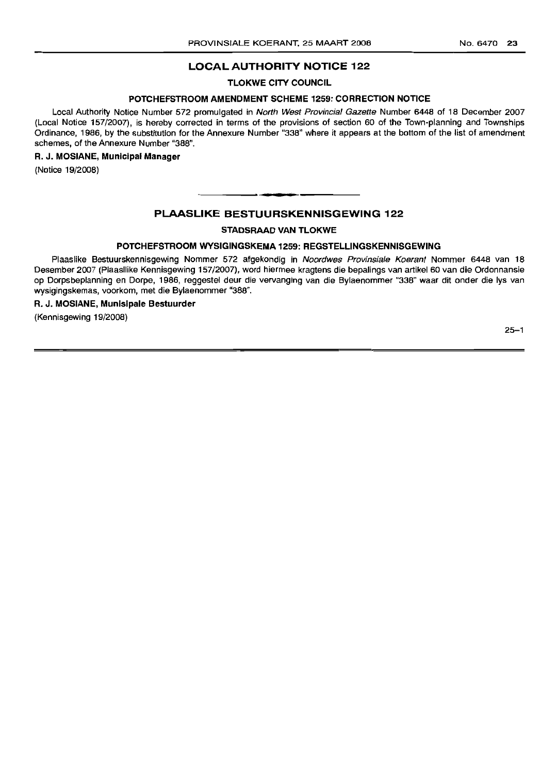#### **LOCAL AUTHORITY NOTICE 122**

**TLOKWE CITY COUNCIL**

#### **POTCHEFSTROOM AMENDMENT SCHEME 1259: CORRECTION NOTICE**

Local Authority Notice Number 572 promulgated in North West Provincial Gazette Number 6448 of 18 December 2007 (Local Notice 157/2007), is hereby corrected in terms of the provisions of section 60 of the Town-planning and Townships Ordinance, 1986, by the substitution for the Annexure Number "338" where it appears at the bottom of the list of amendment schemes, of the Annexure Number "388",

#### **R. J. MOSIANE, Municipal Manager**

(Notice 19/2008)

#### **PLAASLIKE BESTULIRSKENNISGEWING 122**

.**- ..**

#### **STADSRAAD VAN TLOKWE**

#### **POTCHEFSTROOM WYSIGINGSKEMA 1259: REGSTELLINGSKENNISGEWING**

Plaaslike Bestuurskennisgewing Nommer 572 afgekondig in Noordwes Provinsiale Koerant Nommer 6448 van 18 Desember 2007 (Plaasllike Kennisgewing 157/2007), word hiermee kragtens die bepalings van artikel 60 van die Ordonnansie op Dorpsbeplanning en Dorpe, 1986, reggestel deur die vervanging van die Bylaenommer "338" waar dit onder die Iys van wysigingskemas, voorkom, met die Bylaenommer "388",

#### **R. J. MOSIANE, Munisipale Bestuurder**

(Kennisgewing 19/2008)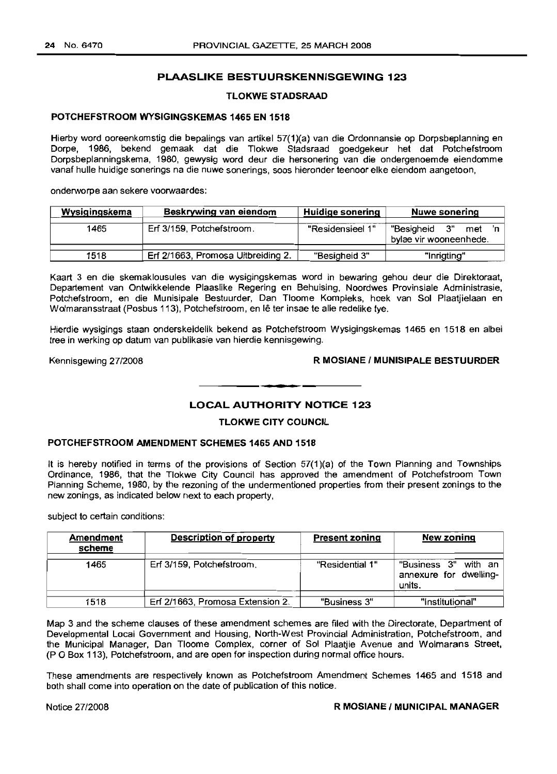#### **PLAASLIKE BESTUURSKENNISGEWING 123**

#### **TLOKWE STADSRAAD**

#### **POTCHEFSTROOM WYSIGINGSKEMAS 1465 EN 1518**

Hierby word ooreenkomstig die bepalings van artikel 57(1)(a) van die Ordonnansie op Dorpsbeplanning en Dorpe, 1986, bekend gemaak dat die Tlokwe Stadsraad goedgekeur het dat Potchefstroom Dorpsbeplanningskema, 1980, gewysig word deur die hersonering van die ondergenoemde eiendomme vanaf hulle huidige sonerings na die nuwe sonerings, soos hieronder teenoor elke eiendom aangetoon,

onderworpe aan sekere voorwaardes:

| <u>Wysigingskema</u> | Beskrywing van eiendom             | Huidige sonering | Nuwe sonering                                  |
|----------------------|------------------------------------|------------------|------------------------------------------------|
| 1465                 | Erf 3/159, Potchefstroom.          | "Residensieel 1" | "Besigheid 3"<br>met<br>bylae vir wooneenhede. |
| 1518                 | Erf 2/1663, Promosa Uitbreiding 2. | "Besigheid 3"    | "Inrigting"                                    |

Kaart 3 en die skemaklousules van die wysigingskemas word in bewaring gehou deur die Direktoraat, Departement van Ontwikkelende Plaaslike Regering en Behuising, Noordwes Provinsiale Administrasie, Potchefstroom, en die Munisipale Bestuurder, Dan Tloome Kompleks, hoek van Sol Plaatjielaan en Wolmaransstraat (Posbus 113), Potchefstroom, en lê ter insae te alle redelike tye.

Hierdie wysigings staan onderskeidelik bekend as Potchefstroom Wysigingskemas 1465 en 1518 en albei tree in werking op datum van publikasie van hierdie kennisgewing.

#### Kennisgewing 27/2008 **R MOSIANE / MUNISIPALE BESTUURDER**

#### **LOCAL AUTHORITY NOTICE 123**

**1\_'**

#### **TLOKWE CITY COUNCIL**

#### **POTCHEFSTROOM AMENDMENT SCHEMES 1465 AND 1518**

It is hereby notified in terms of the provisions of Section 57(1)(a) of the Town Planning and Townships Ordinance, 1986, that the Tlokwe City Council has approved the amendment of Potchefstroom Town Planning Scheme, 1980, by the rezoning of the undermentioned properties from their present zonings to the new zonings, as indicated below next to each property,

subject to certain conditions:

| Amendment<br>scheme | <b>Description of property</b>   | <b>Present zoning</b> | New zoning                                                 |
|---------------------|----------------------------------|-----------------------|------------------------------------------------------------|
| 1465                | Erf 3/159, Potchefstroom.        | "Residential 1"       | "Business 3" with an  <br>annexure for dwelling-<br>units. |
| 1518                | Erf 2/1663, Promosa Extension 2. | "Business 3"          | "Institutional"                                            |

Map 3 and the scheme clauses **of** these amendment schemes are filed with the Directorate, Department of Developmental Local Government and Housing, North-West Provincial Administration, Potchefstroom, and the Municipal Manager, Dan Tloome Complex, corner of Sol Plaatjie Avenue and Wolmarans Street, (P 0 Box 113), Potchefstroom, and are open for inspection during normal office hours.

These amendments are respectively known as Potchefstroom Amendment Schemes 1465 and 1518 and both shall come into operation on the date of publication of this notice.

#### Notice 27/2008 **R MOSIANE / MUNICIPAL MANAGER**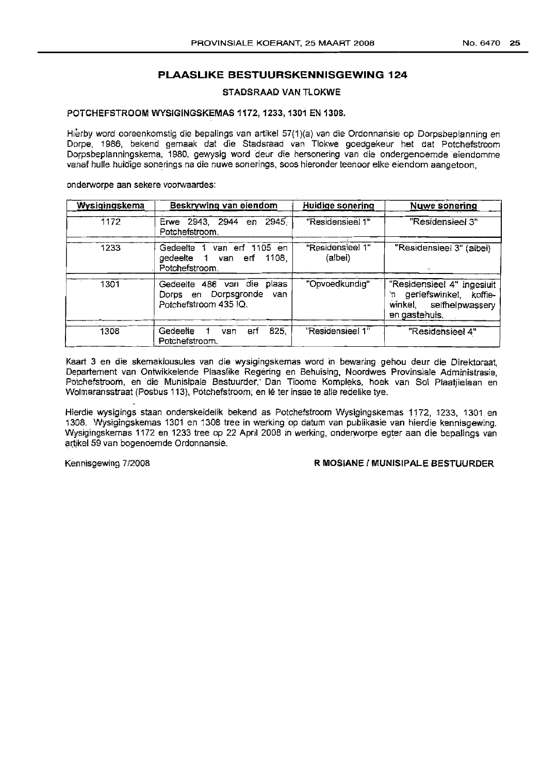#### **PLAASLIKE BESTUURSKENNISGEWING 124**

STADSRAAD VAN TLOKWE

#### POTCHEFSTROOM WYSIGINGSKEMAS 1172,1233,1301 EN 1308.

Hierby word ooreenkomstig die bepalings van artikel 57(1)(a) van die Ordonnansie op Dorpsbeplanning eri Dorpe, 1986, bekend gemaak dat die Stadsraad van Tlokwe goedgekeur het dat Potchefstroom Dorpsbeplarmingskerna, 1980, gewysig word deur die hersonering van die ondergenoemde eiendomme vanaf hulle huidige sonerings na die nuwe sonerings, soos hieronder teenoor elke eieridom aanqetoon,

onderworpe aan sekere voorwaardes:

| Wysigingskema | Beskrywing van eiendom                                                                | Huidige sonering            | <b>Nuwe sonering</b>                                                                                |
|---------------|---------------------------------------------------------------------------------------|-----------------------------|-----------------------------------------------------------------------------------------------------|
| 1172          | Erwe 2943, 2944 en<br>2945.<br>Potchefstroom.                                         | "Residensieel 1"            | "Residensieel 3"                                                                                    |
| 1233          | van erf 1105 en<br>Gedeelte 1<br>gedeelte 1 van erf 1108.<br>Potchefstroom.           | "Residensieel 1"<br>(albei) | "Residensieel 3" (albei)                                                                            |
| 1301          | Gedeelte 486 van die<br>plaas<br>Dorps en Dorpsgronde<br>van<br>Potchefstroom 435 IQ. | "Opvoedkundig"              | "Residensieel 4" ingesiuit<br>'n geriefswinkel, koffie-<br>winkel, selfhelpwassery<br>en gastehuis. |
| 1308          | 825.<br>Gedeelte<br>van<br>ert<br>Potchefstroom.                                      | "Residensieel 1"            | "Residensieel 4"                                                                                    |

Kaart 3 en die skemaklousules van die wysigingskemas word in bewaring gehou deur die Direktoraat, Departement van Ontwikkelende Plaaslike Regering en Behuising, Nbordwes Provinslale Adminlstrasie, Potchefstroom, en die Munisipale Bestuurder.: Dan Tloorne Kompleks, hoek van Sol Plaatllelaan en Wolmaransstraat (Posbus 113), Potchefstroom, en Ie ter insae te alle redelike tye.

Hierdie wysigings staan onderskeidelik bekendas Potchefstroom Wysigingskemas 1172, 1233, 1301. en 1308. Wysigingskemas 1301 en 1308 tree in werking op datum van publikasie van hierdie kennisgewing. Wysigingskemas 1172 en 1233 tree op 22 April 2008 in werking, onderworpe egter aan die bepalings van artikel 59 van bogenoemde Ordonnansie.

Kennisgewing *7/2008* R MOSIANE ( MUNISIPALE BESTUURDER